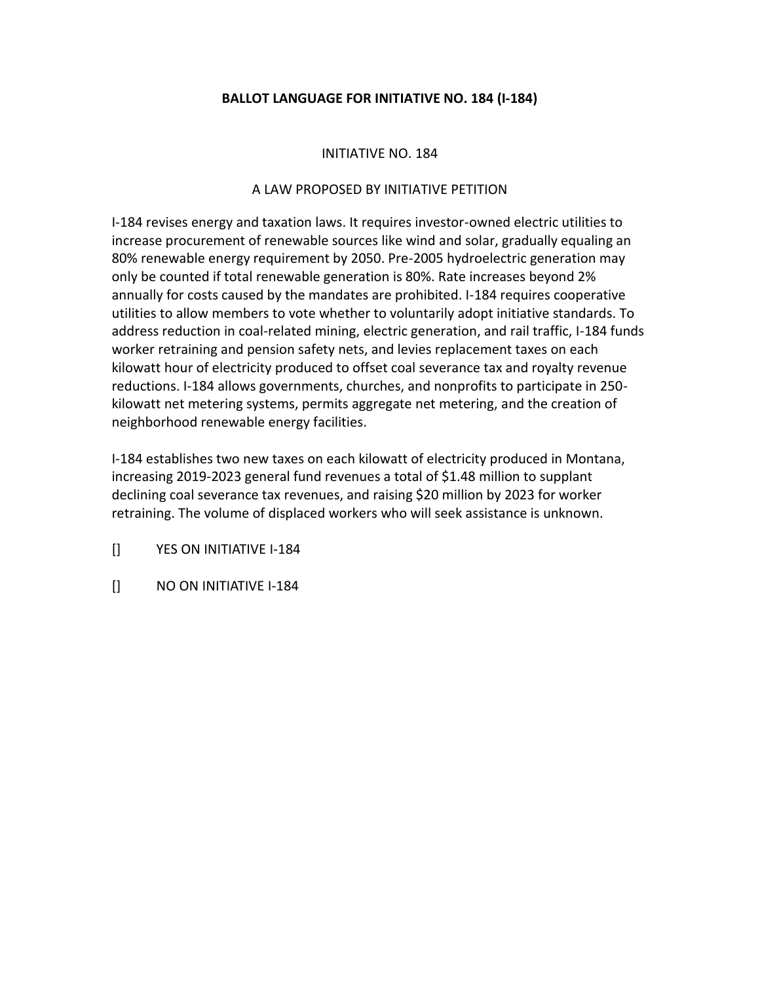## **BALLOT LANGUAGE FOR INITIATIVE NO. 184 (I-184)**

## INITIATIVE NO. 184

## A LAW PROPOSED BY INITIATIVE PETITION

I-184 revises energy and taxation laws. It requires investor-owned electric utilities to increase procurement of renewable sources like wind and solar, gradually equaling an 80% renewable energy requirement by 2050. Pre-2005 hydroelectric generation may only be counted if total renewable generation is 80%. Rate increases beyond 2% annually for costs caused by the mandates are prohibited. I-184 requires cooperative utilities to allow members to vote whether to voluntarily adopt initiative standards. To address reduction in coal-related mining, electric generation, and rail traffic, I-184 funds worker retraining and pension safety nets, and levies replacement taxes on each kilowatt hour of electricity produced to offset coal severance tax and royalty revenue reductions. I-184 allows governments, churches, and nonprofits to participate in 250 kilowatt net metering systems, permits aggregate net metering, and the creation of neighborhood renewable energy facilities.

I-184 establishes two new taxes on each kilowatt of electricity produced in Montana, increasing 2019-2023 general fund revenues a total of \$1.48 million to supplant declining coal severance tax revenues, and raising \$20 million by 2023 for worker retraining. The volume of displaced workers who will seek assistance is unknown.

[] YES ON INITIATIVE I-184

[] NO ON INITIATIVE I-184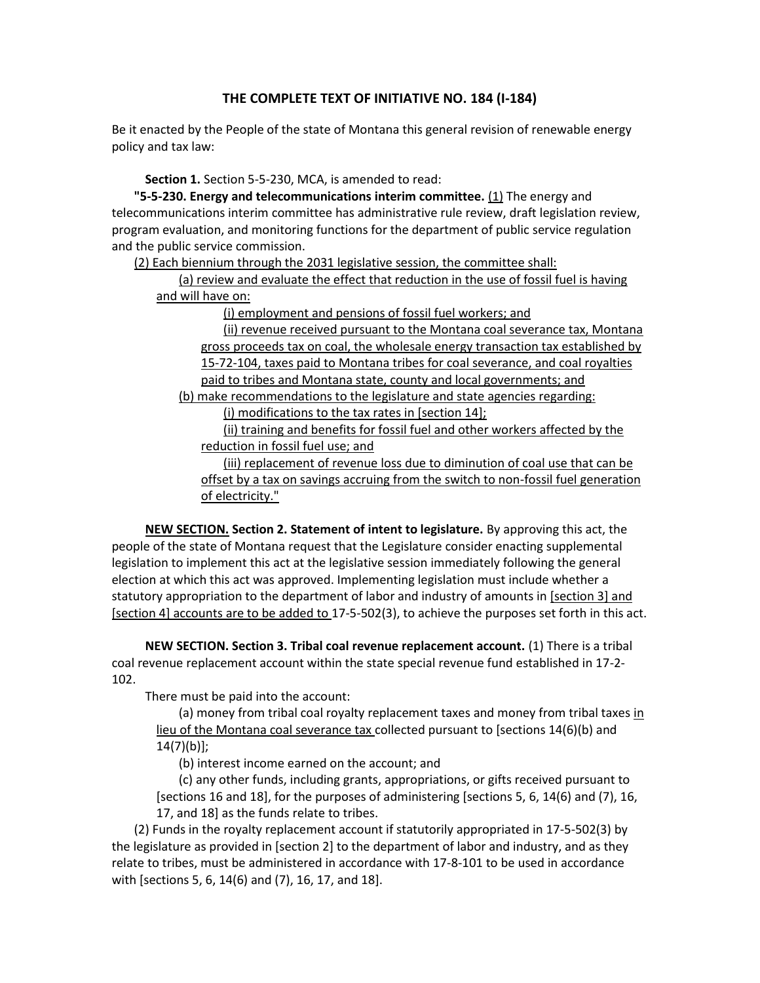## **THE COMPLETE TEXT OF INITIATIVE NO. 184 (I-184)**

Be it enacted by the People of the state of Montana this general revision of renewable energy policy and tax law:

**Section 1.** Section 5-5-230, MCA, is amended to read:

**"5-5-230. Energy and telecommunications interim committee.** (1) The energy and telecommunications interim committee has administrative rule review, draft legislation review, program evaluation, and monitoring functions for the department of public service regulation and the public service commission.

(2) Each biennium through the 2031 legislative session, the committee shall:

(a) review and evaluate the effect that reduction in the use of fossil fuel is having and will have on:

(i) employment and pensions of fossil fuel workers; and

(ii) revenue received pursuant to the Montana coal severance tax, Montana gross proceeds tax on coal, the wholesale energy transaction tax established by 15-72-104, taxes paid to Montana tribes for coal severance, and coal royalties paid to tribes and Montana state, county and local governments; and (b) make recommendations to the legislature and state agencies regarding:

(i) modifications to the tax rates in [section 14];

(ii) training and benefits for fossil fuel and other workers affected by the reduction in fossil fuel use; and

(iii) replacement of revenue loss due to diminution of coal use that can be offset by a tax on savings accruing from the switch to non-fossil fuel generation of electricity."

**NEW SECTION. Section 2. Statement of intent to legislature.** By approving this act, the people of the state of Montana request that the Legislature consider enacting supplemental legislation to implement this act at the legislative session immediately following the general election at which this act was approved. Implementing legislation must include whether a statutory appropriation to the department of labor and industry of amounts in [section 3] and [section 4] accounts are to be added to 17-5-502(3), to achieve the purposes set forth in this act.

**NEW SECTION. Section 3. Tribal coal revenue replacement account.** (1) There is a tribal coal revenue replacement account within the state special revenue fund established in 17-2- 102.

There must be paid into the account:

(a) money from tribal coal royalty replacement taxes and money from tribal taxes in lieu of the Montana coal severance tax collected pursuant to [sections 14(6)(b) and 14(7)(b)];

(b) interest income earned on the account; and

(c) any other funds, including grants, appropriations, or gifts received pursuant to [sections 16 and 18], for the purposes of administering [sections 5, 6, 14(6) and (7), 16, 17, and 18] as the funds relate to tribes.

(2) Funds in the royalty replacement account if statutorily appropriated in 17-5-502(3) by the legislature as provided in [section 2] to the department of labor and industry, and as they relate to tribes, must be administered in accordance with 17-8-101 to be used in accordance with [sections 5, 6, 14(6) and (7), 16, 17, and 18].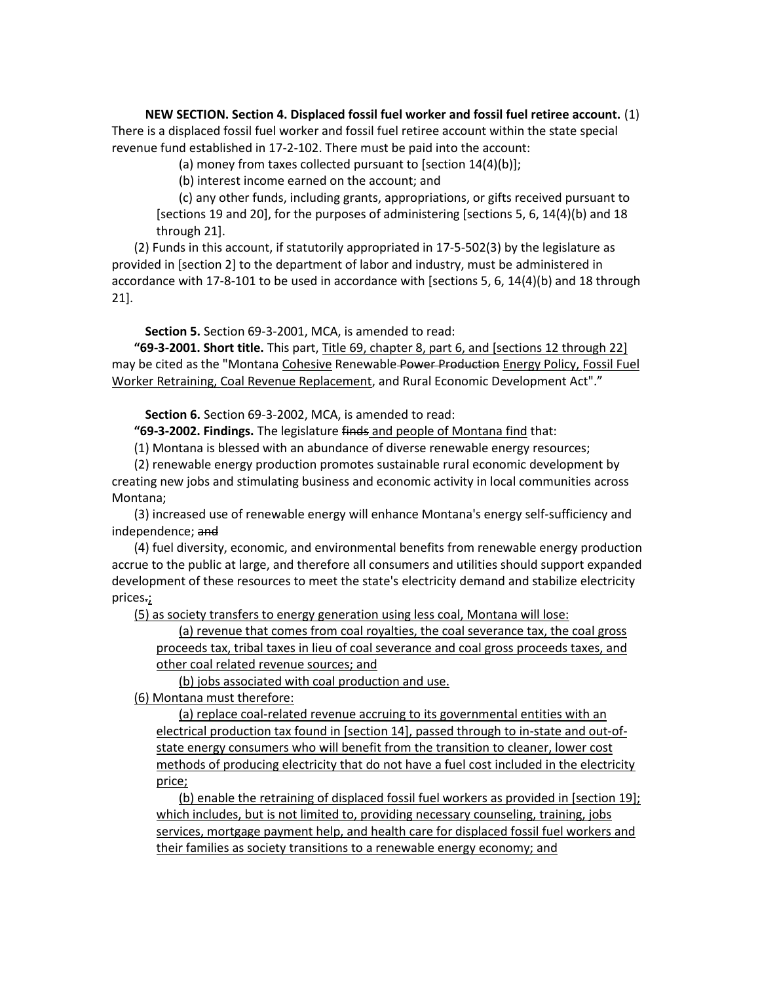**NEW SECTION. Section 4. Displaced fossil fuel worker and fossil fuel retiree account.** (1) There is a displaced fossil fuel worker and fossil fuel retiree account within the state special revenue fund established in 17-2-102. There must be paid into the account:

(a) money from taxes collected pursuant to [section 14(4)(b)];

(b) interest income earned on the account; and

(c) any other funds, including grants, appropriations, or gifts received pursuant to [sections 19 and 20], for the purposes of administering [sections 5, 6, 14(4)(b) and 18 through 21].

(2) Funds in this account, if statutorily appropriated in 17-5-502(3) by the legislature as provided in [section 2] to the department of labor and industry, must be administered in accordance with 17-8-101 to be used in accordance with [sections 5, 6, 14(4)(b) and 18 through 21].

**Section 5.** Section 69-3-2001, MCA, is amended to read:

**"69-3-2001. Short title.** This part, Title 69, chapter 8, part 6, and [sections 12 through 22] may be cited as the "Montana Cohesive Renewable Power Production Energy Policy, Fossil Fuel Worker Retraining, Coal Revenue Replacement, and Rural Economic Development Act"."

**Section 6.** Section 69-3-2002, MCA, is amended to read:

**"69-3-2002. Findings.** The legislature finds and people of Montana find that:

(1) Montana is blessed with an abundance of diverse renewable energy resources;

(2) renewable energy production promotes sustainable rural economic development by creating new jobs and stimulating business and economic activity in local communities across Montana;

(3) increased use of renewable energy will enhance Montana's energy self-sufficiency and independence; and

(4) fuel diversity, economic, and environmental benefits from renewable energy production accrue to the public at large, and therefore all consumers and utilities should support expanded development of these resources to meet the state's electricity demand and stabilize electricity prices.;

(5) as society transfers to energy generation using less coal, Montana will lose:

(a) revenue that comes from coal royalties, the coal severance tax, the coal gross proceeds tax, tribal taxes in lieu of coal severance and coal gross proceeds taxes, and other coal related revenue sources; and

(b) jobs associated with coal production and use.

(6) Montana must therefore:

(a) replace coal-related revenue accruing to its governmental entities with an electrical production tax found in [section 14], passed through to in-state and out-ofstate energy consumers who will benefit from the transition to cleaner, lower cost methods of producing electricity that do not have a fuel cost included in the electricity price;

(b) enable the retraining of displaced fossil fuel workers as provided in [section 19]; which includes, but is not limited to, providing necessary counseling, training, jobs services, mortgage payment help, and health care for displaced fossil fuel workers and their families as society transitions to a renewable energy economy; and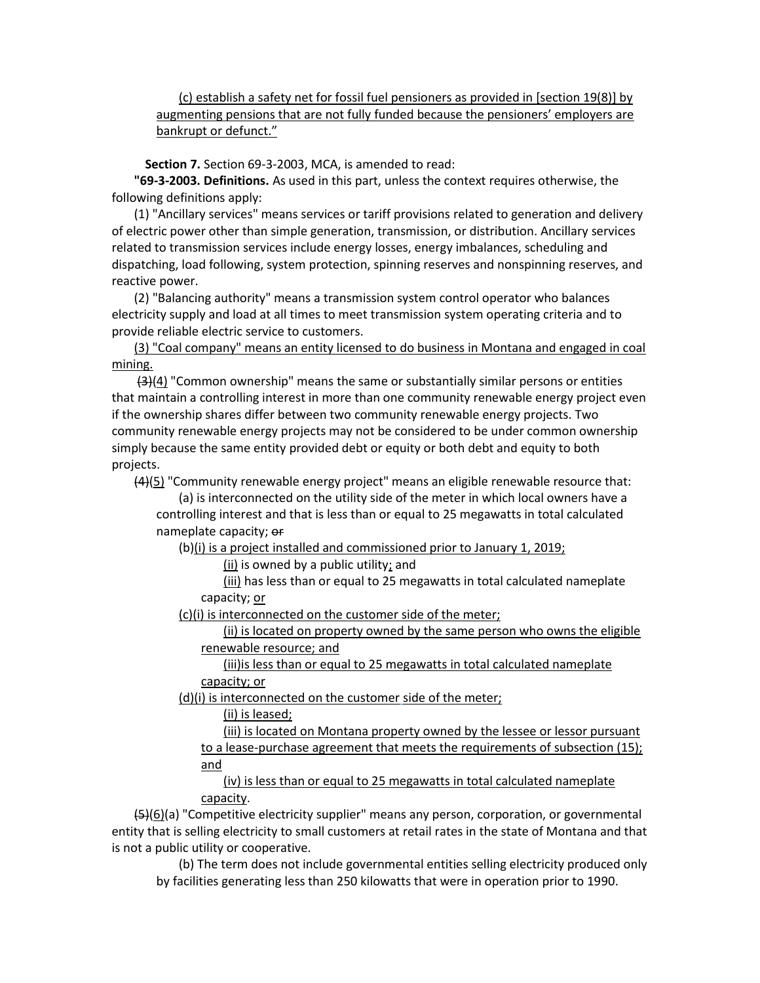(c) establish a safety net for fossil fuel pensioners as provided in [section 19(8)] by augmenting pensions that are not fully funded because the pensioners' employers are bankrupt or defunct."

**Section 7.** Section 69-3-2003, MCA, is amended to read:

**"69-3-2003. Definitions.** As used in this part, unless the context requires otherwise, the following definitions apply:

(1) "Ancillary services" means services or tariff provisions related to generation and delivery of electric power other than simple generation, transmission, or distribution. Ancillary services related to transmission services include energy losses, energy imbalances, scheduling and dispatching, load following, system protection, spinning reserves and nonspinning reserves, and reactive power.

(2) "Balancing authority" means a transmission system control operator who balances electricity supply and load at all times to meet transmission system operating criteria and to provide reliable electric service to customers.

(3) "Coal company" means an entity licensed to do business in Montana and engaged in coal mining.

 $(3)(4)$  "Common ownership" means the same or substantially similar persons or entities that maintain a controlling interest in more than one community renewable energy project even if the ownership shares differ between two community renewable energy projects. Two community renewable energy projects may not be considered to be under common ownership simply because the same entity provided debt or equity or both debt and equity to both projects.

 $(4)(5)$  "Community renewable energy project" means an eligible renewable resource that:

(a) is interconnected on the utility side of the meter in which local owners have a controlling interest and that is less than or equal to 25 megawatts in total calculated nameplate capacity; or

(b)(i) is a project installed and commissioned prior to January 1, 2019;

 $(ii)$  is owned by a public utility; and

(iii) has less than or equal to 25 megawatts in total calculated nameplate capacity; or

(c)(i) is interconnected on the customer side of the meter;

(ii) is located on property owned by the same person who owns the eligible renewable resource; and

(iii)is less than or equal to 25 megawatts in total calculated nameplate capacity; or

(d)(i) is interconnected on the customer side of the meter;

(ii) is leased;

(iii) is located on Montana property owned by the lessee or lessor pursuant to a lease-purchase agreement that meets the requirements of subsection (15); and

(iv) is less than or equal to 25 megawatts in total calculated nameplate capacity.

 $\left\{45\right\}$ (6)(a) "Competitive electricity supplier" means any person, corporation, or governmental entity that is selling electricity to small customers at retail rates in the state of Montana and that is not a public utility or cooperative.

(b) The term does not include governmental entities selling electricity produced only by facilities generating less than 250 kilowatts that were in operation prior to 1990.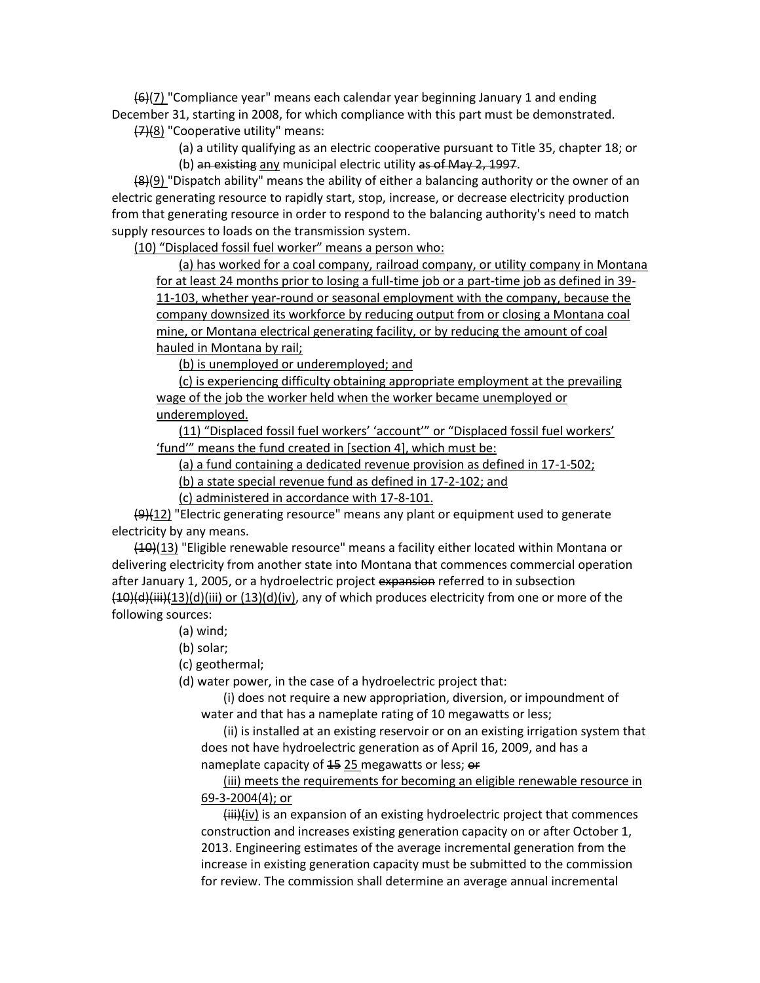$(6)(7)$  "Compliance year" means each calendar year beginning January 1 and ending December 31, starting in 2008, for which compliance with this part must be demonstrated. (7)(8) "Cooperative utility" means:

> (a) a utility qualifying as an electric cooperative pursuant to Title 35, chapter 18; or (b) an existing any municipal electric utility as of May 2, 1997.

 $(8)(9)$  "Dispatch ability" means the ability of either a balancing authority or the owner of an electric generating resource to rapidly start, stop, increase, or decrease electricity production from that generating resource in order to respond to the balancing authority's need to match supply resources to loads on the transmission system.

(10) "Displaced fossil fuel worker" means a person who:

(a) has worked for a coal company, railroad company, or utility company in Montana for at least 24 months prior to losing a full-time job or a part-time job as defined in 39- 11-103, whether year-round or seasonal employment with the company, because the company downsized its workforce by reducing output from or closing a Montana coal mine, or Montana electrical generating facility, or by reducing the amount of coal hauled in Montana by rail;

(b) is unemployed or underemployed; and

(c) is experiencing difficulty obtaining appropriate employment at the prevailing wage of the job the worker held when the worker became unemployed or underemployed.

(11) "Displaced fossil fuel workers' 'account'" or "Displaced fossil fuel workers' 'fund'" means the fund created in [section 4], which must be:

(a) a fund containing a dedicated revenue provision as defined in 17-1-502;

(b) a state special revenue fund as defined in 17-2-102; and

(c) administered in accordance with 17-8-101.

 $\frac{19}{12}$  "Electric generating resource" means any plant or equipment used to generate electricity by any means.

(10)(13) "Eligible renewable resource" means a facility either located within Montana or delivering electricity from another state into Montana that commences commercial operation after January 1, 2005, or a hydroelectric project expansion referred to in subsection  $(10)(d)(iii)(13)(d)(iii)$  or  $(13)(d)(iv)$ , any of which produces electricity from one or more of the following sources:

(a) wind;

(b) solar;

(c) geothermal;

(d) water power, in the case of a hydroelectric project that:

(i) does not require a new appropriation, diversion, or impoundment of water and that has a nameplate rating of 10 megawatts or less;

(ii) is installed at an existing reservoir or on an existing irrigation system that does not have hydroelectric generation as of April 16, 2009, and has a nameplate capacity of 15 25 megawatts or less; or

(iii) meets the requirements for becoming an eligible renewable resource in 69-3-2004(4); or

 $(iii)(iv)$  is an expansion of an existing hydroelectric project that commences construction and increases existing generation capacity on or after October 1, 2013. Engineering estimates of the average incremental generation from the increase in existing generation capacity must be submitted to the commission for review. The commission shall determine an average annual incremental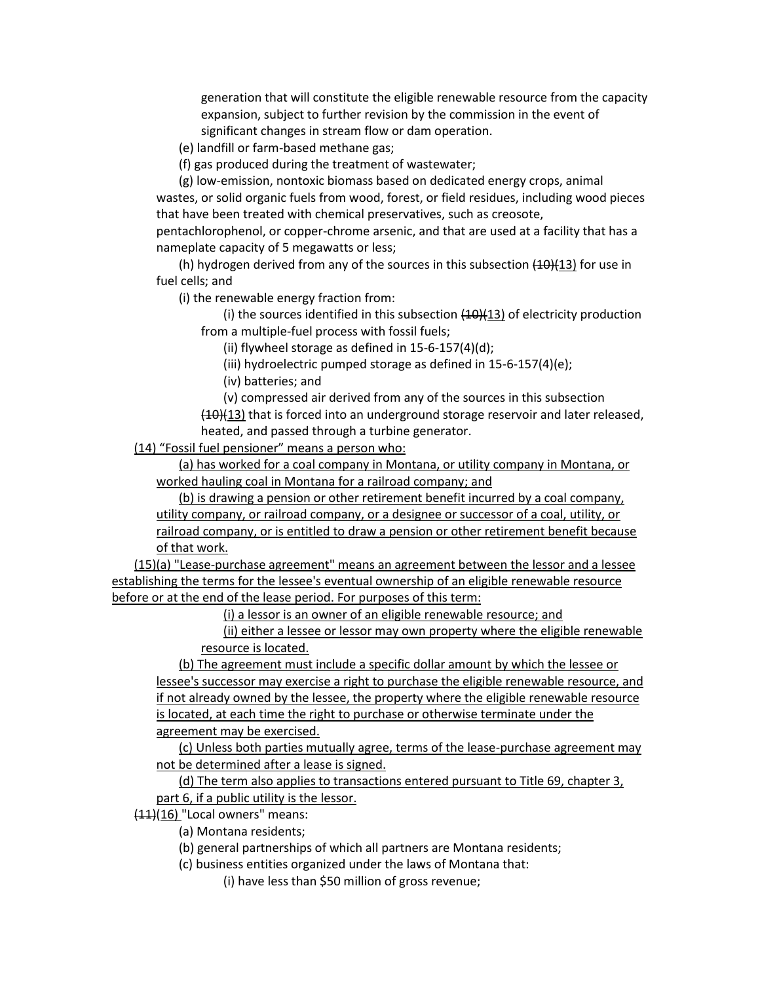generation that will constitute the eligible renewable resource from the capacity expansion, subject to further revision by the commission in the event of significant changes in stream flow or dam operation.

(e) landfill or farm-based methane gas;

(f) gas produced during the treatment of wastewater;

(g) low-emission, nontoxic biomass based on dedicated energy crops, animal wastes, or solid organic fuels from wood, forest, or field residues, including wood pieces that have been treated with chemical preservatives, such as creosote,

pentachlorophenol, or copper-chrome arsenic, and that are used at a facility that has a nameplate capacity of 5 megawatts or less;

(h) hydrogen derived from any of the sources in this subsection  $(10)(13)$  for use in fuel cells; and

(i) the renewable energy fraction from:

(i) the sources identified in this subsection  $(10)(13)$  of electricity production from a multiple-fuel process with fossil fuels;

(ii) flywheel storage as defined in 15-6-157(4)(d);

(iii) hydroelectric pumped storage as defined in 15-6-157(4)(e);

(iv) batteries; and

(v) compressed air derived from any of the sources in this subsection

 $(10)(13)$  that is forced into an underground storage reservoir and later released, heated, and passed through a turbine generator.

(14) "Fossil fuel pensioner" means a person who:

(a) has worked for a coal company in Montana, or utility company in Montana, or worked hauling coal in Montana for a railroad company; and

(b) is drawing a pension or other retirement benefit incurred by a coal company, utility company, or railroad company, or a designee or successor of a coal, utility, or railroad company, or is entitled to draw a pension or other retirement benefit because of that work.

(15)(a) "Lease-purchase agreement" means an agreement between the lessor and a lessee establishing the terms for the lessee's eventual ownership of an eligible renewable resource before or at the end of the lease period. For purposes of this term:

(i) a lessor is an owner of an eligible renewable resource; and

(ii) either a lessee or lessor may own property where the eligible renewable resource is located.

(b) The agreement must include a specific dollar amount by which the lessee or lessee's successor may exercise a right to purchase the eligible renewable resource, and if not already owned by the lessee, the property where the eligible renewable resource is located, at each time the right to purchase or otherwise terminate under the agreement may be exercised.

(c) Unless both parties mutually agree, terms of the lease-purchase agreement may not be determined after a lease is signed.

(d) The term also applies to transactions entered pursuant to Title 69, chapter 3, part 6, if a public utility is the lessor.

 $(11)(16)$  "Local owners" means:

(a) Montana residents;

(b) general partnerships of which all partners are Montana residents;

(c) business entities organized under the laws of Montana that:

(i) have less than \$50 million of gross revenue;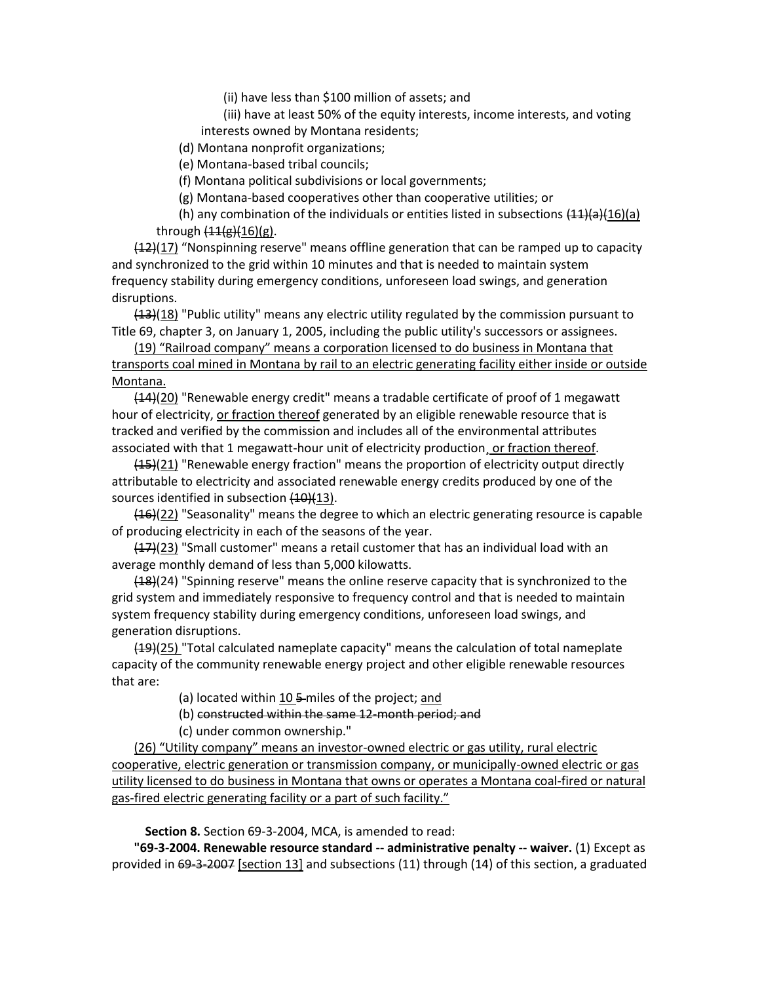(ii) have less than \$100 million of assets; and

(iii) have at least 50% of the equity interests, income interests, and voting interests owned by Montana residents;

(d) Montana nonprofit organizations;

(e) Montana-based tribal councils;

(f) Montana political subdivisions or local governments;

(g) Montana-based cooperatives other than cooperative utilities; or

(h) any combination of the individuals or entities listed in subsections  $(11)(a)(16)(a)$ through  $(11(g)(16)(g))$ .

 $(12)(17)$  "Nonspinning reserve" means offline generation that can be ramped up to capacity and synchronized to the grid within 10 minutes and that is needed to maintain system frequency stability during emergency conditions, unforeseen load swings, and generation disruptions.

 $(13)(18)$  "Public utility" means any electric utility regulated by the commission pursuant to Title 69, chapter 3, on January 1, 2005, including the public utility's successors or assignees.

(19) "Railroad company" means a corporation licensed to do business in Montana that transports coal mined in Montana by rail to an electric generating facility either inside or outside Montana.

 $(14)(20)$  "Renewable energy credit" means a tradable certificate of proof of 1 megawatt hour of electricity, or fraction thereof generated by an eligible renewable resource that is tracked and verified by the commission and includes all of the environmental attributes associated with that 1 megawatt-hour unit of electricity production¸ or fraction thereof.

 $(15)(21)$  "Renewable energy fraction" means the proportion of electricity output directly attributable to electricity and associated renewable energy credits produced by one of the sources identified in subsection (10)(13).

 $(16)(22)$  "Seasonality" means the degree to which an electric generating resource is capable of producing electricity in each of the seasons of the year.

 $(17)(23)$  "Small customer" means a retail customer that has an individual load with an average monthly demand of less than 5,000 kilowatts.

(18)(24) "Spinning reserve" means the online reserve capacity that is synchronized to the grid system and immediately responsive to frequency control and that is needed to maintain system frequency stability during emergency conditions, unforeseen load swings, and generation disruptions.

(19)(25) "Total calculated nameplate capacity" means the calculation of total nameplate capacity of the community renewable energy project and other eligible renewable resources that are:

(a) located within 10  $\frac{1}{2}$  miles of the project; and

(b) constructed within the same 12-month period; and

(c) under common ownership."

(26) "Utility company" means an investor-owned electric or gas utility, rural electric cooperative, electric generation or transmission company, or municipally-owned electric or gas utility licensed to do business in Montana that owns or operates a Montana coal-fired or natural gas-fired electric generating facility or a part of such facility."

**Section 8.** Section 69-3-2004, MCA, is amended to read:

**"69-3-2004. Renewable resource standard -- administrative penalty -- waiver.** (1) Except as provided in 69-3-2007 [section 13] and subsections (11) through (14) of this section, a graduated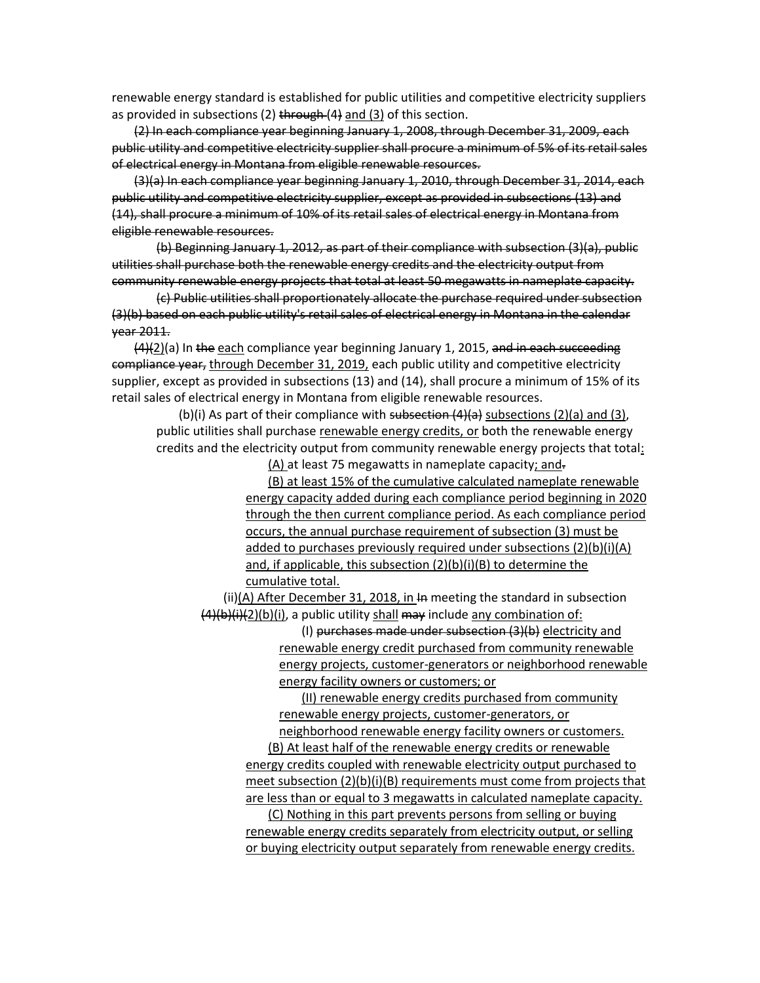renewable energy standard is established for public utilities and competitive electricity suppliers as provided in subsections (2)  $t$ hrough (4) and (3) of this section.

(2) In each compliance year beginning January 1, 2008, through December 31, 2009, each public utility and competitive electricity supplier shall procure a minimum of 5% of its retail sales of electrical energy in Montana from eligible renewable resources.

(3)(a) In each compliance year beginning January 1, 2010, through December 31, 2014, each public utility and competitive electricity supplier, except as provided in subsections (13) and (14), shall procure a minimum of 10% of its retail sales of electrical energy in Montana from eligible renewable resources.

(b) Beginning January 1, 2012, as part of their compliance with subsection (3)(a), public utilities shall purchase both the renewable energy credits and the electricity output from community renewable energy projects that total at least 50 megawatts in nameplate capacity.

(c) Public utilities shall proportionately allocate the purchase required under subsection (3)(b) based on each public utility's retail sales of electrical energy in Montana in the calendar year 2011.

 $(4)(2)(a)$  In the each compliance year beginning January 1, 2015, and in each succeeding compliance year, through December 31, 2019, each public utility and competitive electricity supplier, except as provided in subsections (13) and (14), shall procure a minimum of 15% of its retail sales of electrical energy in Montana from eligible renewable resources.

(b)(i) As part of their compliance with subsection  $(4)(a)$  subsections  $(2)(a)$  and  $(3)$ , public utilities shall purchase renewable energy credits, or both the renewable energy credits and the electricity output from community renewable energy projects that total:

(A) at least 75 megawatts in nameplate capacity; and.

(B) at least 15% of the cumulative calculated nameplate renewable energy capacity added during each compliance period beginning in 2020 through the then current compliance period. As each compliance period occurs, the annual purchase requirement of subsection (3) must be added to purchases previously required under subsections (2)(b)(i)(A) and, if applicable, this subsection (2)(b)(i)(B) to determine the cumulative total.

(ii) $(A)$  After December 31, 2018, in In meeting the standard in subsection  $(4)(b)(i)(2)(b)(i)$ , a public utility shall may include any combination of:

> (I) purchases made under subsection (3)(b) electricity and renewable energy credit purchased from community renewable energy projects, customer-generators or neighborhood renewable energy facility owners or customers; or

(II) renewable energy credits purchased from community renewable energy projects, customer-generators, or

neighborhood renewable energy facility owners or customers. (B) At least half of the renewable energy credits or renewable

energy credits coupled with renewable electricity output purchased to meet subsection (2)(b)(i)(B) requirements must come from projects that are less than or equal to 3 megawatts in calculated nameplate capacity.

(C) Nothing in this part prevents persons from selling or buying renewable energy credits separately from electricity output, or selling or buying electricity output separately from renewable energy credits.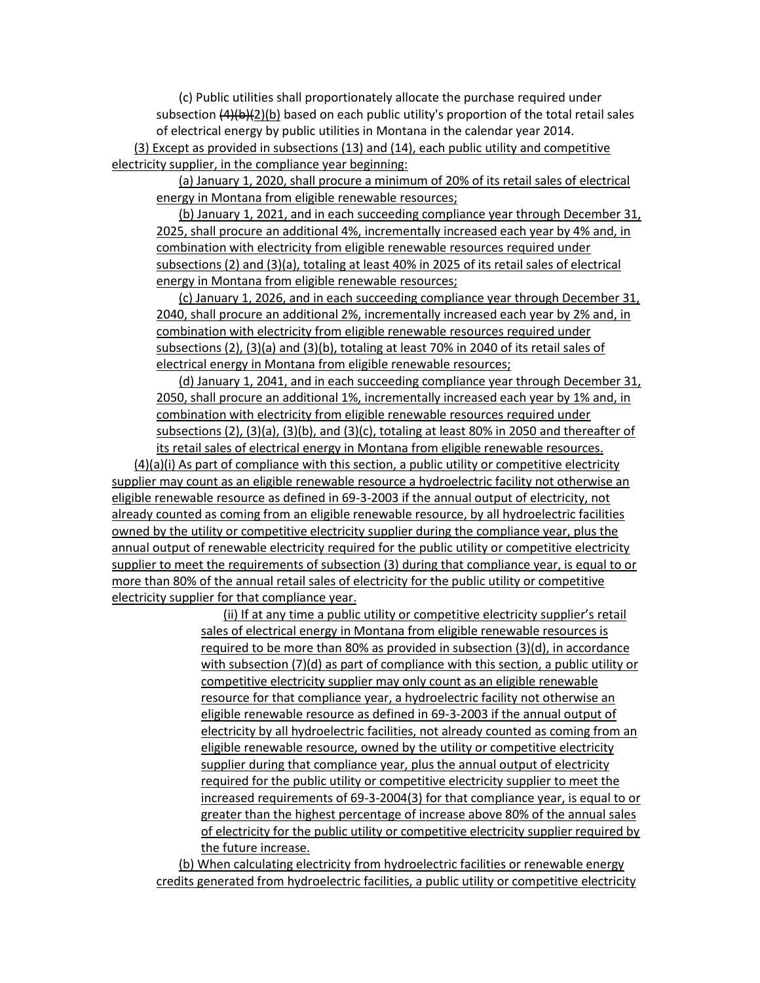(c) Public utilities shall proportionately allocate the purchase required under subsection  $(4)(b)(2)(b)$  based on each public utility's proportion of the total retail sales of electrical energy by public utilities in Montana in the calendar year 2014.

(3) Except as provided in subsections (13) and (14), each public utility and competitive electricity supplier, in the compliance year beginning:

(a) January 1, 2020, shall procure a minimum of 20% of its retail sales of electrical energy in Montana from eligible renewable resources;

(b) January 1, 2021, and in each succeeding compliance year through December 31, 2025, shall procure an additional 4%, incrementally increased each year by 4% and, in combination with electricity from eligible renewable resources required under subsections (2) and (3)(a), totaling at least 40% in 2025 of its retail sales of electrical energy in Montana from eligible renewable resources;

(c) January 1, 2026, and in each succeeding compliance year through December 31, 2040, shall procure an additional 2%, incrementally increased each year by 2% and, in combination with electricity from eligible renewable resources required under subsections (2), (3)(a) and (3)(b), totaling at least 70% in 2040 of its retail sales of electrical energy in Montana from eligible renewable resources;

(d) January 1, 2041, and in each succeeding compliance year through December 31, 2050, shall procure an additional 1%, incrementally increased each year by 1% and, in combination with electricity from eligible renewable resources required under subsections (2), (3)(a), (3)(b), and (3)(c), totaling at least 80% in 2050 and thereafter of its retail sales of electrical energy in Montana from eligible renewable resources.

(4)(a)(i) As part of compliance with this section, a public utility or competitive electricity supplier may count as an eligible renewable resource a hydroelectric facility not otherwise an eligible renewable resource as defined in 69-3-2003 if the annual output of electricity, not already counted as coming from an eligible renewable resource, by all hydroelectric facilities owned by the utility or competitive electricity supplier during the compliance year, plus the annual output of renewable electricity required for the public utility or competitive electricity supplier to meet the requirements of subsection (3) during that compliance year, is equal to or more than 80% of the annual retail sales of electricity for the public utility or competitive electricity supplier for that compliance year.

> (ii) If at any time a public utility or competitive electricity supplier's retail sales of electrical energy in Montana from eligible renewable resources is required to be more than 80% as provided in subsection (3)(d), in accordance with subsection (7)(d) as part of compliance with this section, a public utility or competitive electricity supplier may only count as an eligible renewable resource for that compliance year, a hydroelectric facility not otherwise an eligible renewable resource as defined in 69-3-2003 if the annual output of electricity by all hydroelectric facilities, not already counted as coming from an eligible renewable resource, owned by the utility or competitive electricity supplier during that compliance year, plus the annual output of electricity required for the public utility or competitive electricity supplier to meet the increased requirements of 69-3-2004(3) for that compliance year, is equal to or greater than the highest percentage of increase above 80% of the annual sales of electricity for the public utility or competitive electricity supplier required by the future increase.

(b) When calculating electricity from hydroelectric facilities or renewable energy credits generated from hydroelectric facilities, a public utility or competitive electricity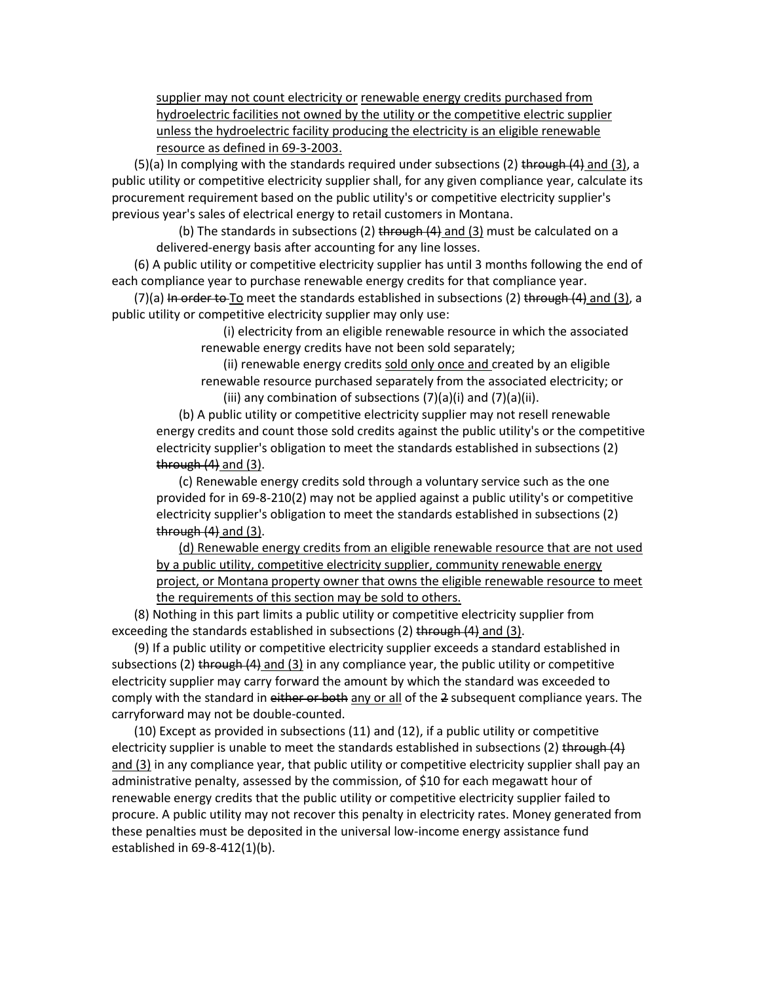supplier may not count electricity or renewable energy credits purchased from hydroelectric facilities not owned by the utility or the competitive electric supplier unless the hydroelectric facility producing the electricity is an eligible renewable resource as defined in 69-3-2003.

 $(5)(a)$  In complying with the standards required under subsections (2) through  $(4)$  and  $(3)$ , a public utility or competitive electricity supplier shall, for any given compliance year, calculate its procurement requirement based on the public utility's or competitive electricity supplier's previous year's sales of electrical energy to retail customers in Montana.

(b) The standards in subsections (2) through  $(4)$  and  $(3)$  must be calculated on a delivered-energy basis after accounting for any line losses.

(6) A public utility or competitive electricity supplier has until 3 months following the end of each compliance year to purchase renewable energy credits for that compliance year.

 $(7)(a)$  In order to To meet the standards established in subsections (2) through (4) and (3), a public utility or competitive electricity supplier may only use:

> (i) electricity from an eligible renewable resource in which the associated renewable energy credits have not been sold separately;

(ii) renewable energy credits sold only once and created by an eligible renewable resource purchased separately from the associated electricity; or

(iii) any combination of subsections  $(7)(a)(i)$  and  $(7)(a)(ii)$ .

(b) A public utility or competitive electricity supplier may not resell renewable energy credits and count those sold credits against the public utility's or the competitive electricity supplier's obligation to meet the standards established in subsections (2) through  $(4)$  and  $(3)$ .

(c) Renewable energy credits sold through a voluntary service such as the one provided for in 69-8-210(2) may not be applied against a public utility's or competitive electricity supplier's obligation to meet the standards established in subsections (2) through  $(4)$  and  $(3)$ .

(d) Renewable energy credits from an eligible renewable resource that are not used by a public utility, competitive electricity supplier, community renewable energy project, or Montana property owner that owns the eligible renewable resource to meet the requirements of this section may be sold to others.

(8) Nothing in this part limits a public utility or competitive electricity supplier from exceeding the standards established in subsections (2) through (4) and (3).

(9) If a public utility or competitive electricity supplier exceeds a standard established in subsections (2) through  $(4)$  and  $(3)$  in any compliance year, the public utility or competitive electricity supplier may carry forward the amount by which the standard was exceeded to comply with the standard in either or both any or all of the 2 subsequent compliance years. The carryforward may not be double-counted.

(10) Except as provided in subsections (11) and (12), if a public utility or competitive electricity supplier is unable to meet the standards established in subsections (2) through (4) and (3) in any compliance year, that public utility or competitive electricity supplier shall pay an administrative penalty, assessed by the commission, of \$10 for each megawatt hour of renewable energy credits that the public utility or competitive electricity supplier failed to procure. A public utility may not recover this penalty in electricity rates. Money generated from these penalties must be deposited in the universal low-income energy assistance fund established in 69-8-412(1)(b).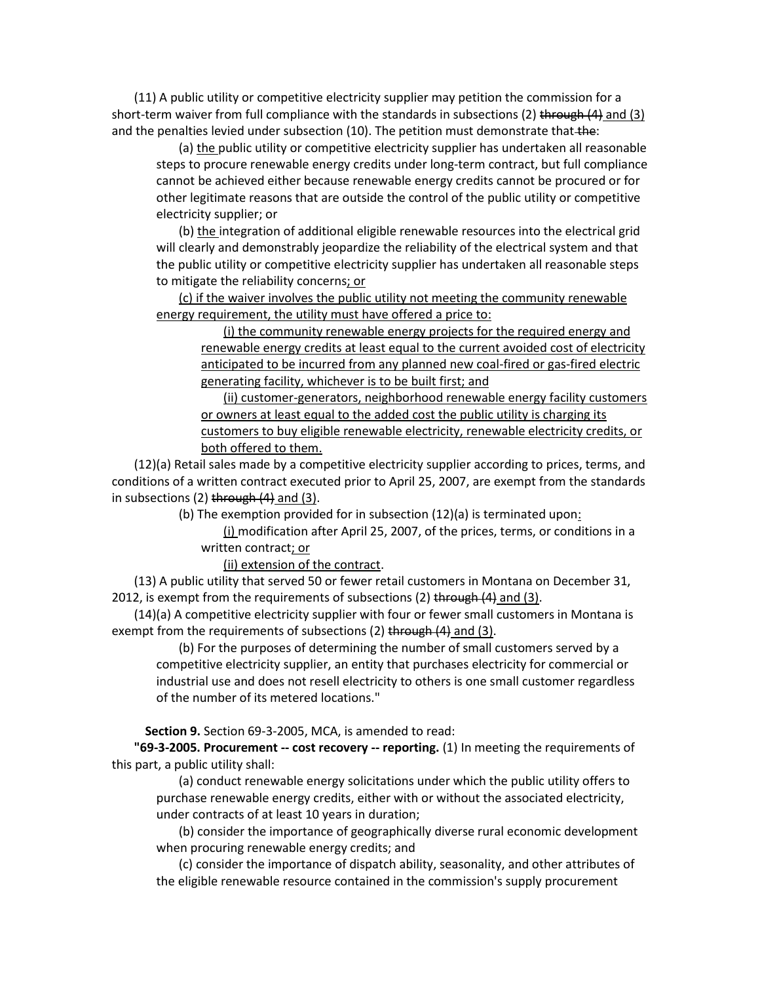(11) A public utility or competitive electricity supplier may petition the commission for a short-term waiver from full compliance with the standards in subsections (2) through (4) and (3) and the penalties levied under subsection (10). The petition must demonstrate that the:

(a) the public utility or competitive electricity supplier has undertaken all reasonable steps to procure renewable energy credits under long-term contract, but full compliance cannot be achieved either because renewable energy credits cannot be procured or for other legitimate reasons that are outside the control of the public utility or competitive electricity supplier; or

(b) the integration of additional eligible renewable resources into the electrical grid will clearly and demonstrably jeopardize the reliability of the electrical system and that the public utility or competitive electricity supplier has undertaken all reasonable steps to mitigate the reliability concerns; or

(c) if the waiver involves the public utility not meeting the community renewable energy requirement, the utility must have offered a price to:

(i) the community renewable energy projects for the required energy and renewable energy credits at least equal to the current avoided cost of electricity anticipated to be incurred from any planned new coal-fired or gas-fired electric generating facility, whichever is to be built first; and

(ii) customer-generators, neighborhood renewable energy facility customers or owners at least equal to the added cost the public utility is charging its customers to buy eligible renewable electricity, renewable electricity credits, or both offered to them.

(12)(a) Retail sales made by a competitive electricity supplier according to prices, terms, and conditions of a written contract executed prior to April 25, 2007, are exempt from the standards in subsections  $(2)$  through  $(4)$  and  $(3)$ .

(b) The exemption provided for in subsection (12)(a) is terminated upon:

(i) modification after April 25, 2007, of the prices, terms, or conditions in a written contract; or

(ii) extension of the contract.

(13) A public utility that served 50 or fewer retail customers in Montana on December 31, 2012, is exempt from the requirements of subsections (2) through (4) and (3).

(14)(a) A competitive electricity supplier with four or fewer small customers in Montana is exempt from the requirements of subsections (2) through (4) and (3).

(b) For the purposes of determining the number of small customers served by a competitive electricity supplier, an entity that purchases electricity for commercial or industrial use and does not resell electricity to others is one small customer regardless of the number of its metered locations."

**Section 9.** Section 69-3-2005, MCA, is amended to read:

**"69-3-2005. Procurement -- cost recovery -- reporting.** (1) In meeting the requirements of this part, a public utility shall:

(a) conduct renewable energy solicitations under which the public utility offers to purchase renewable energy credits, either with or without the associated electricity, under contracts of at least 10 years in duration;

(b) consider the importance of geographically diverse rural economic development when procuring renewable energy credits; and

(c) consider the importance of dispatch ability, seasonality, and other attributes of the eligible renewable resource contained in the commission's supply procurement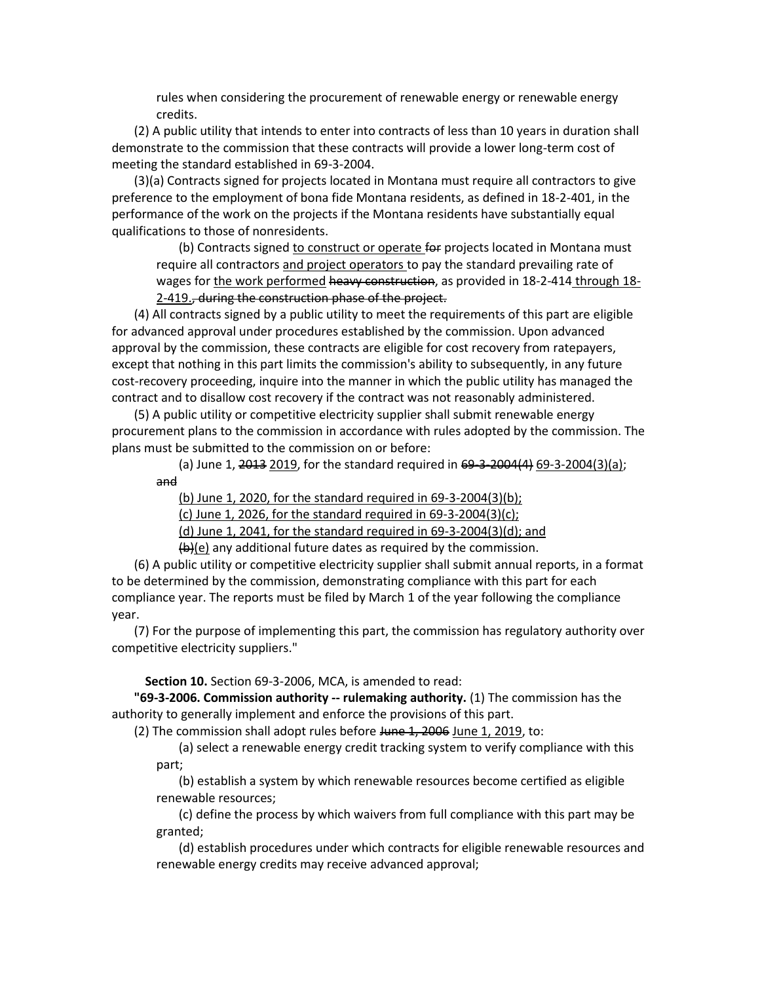rules when considering the procurement of renewable energy or renewable energy credits.

(2) A public utility that intends to enter into contracts of less than 10 years in duration shall demonstrate to the commission that these contracts will provide a lower long-term cost of meeting the standard established in 69-3-2004.

(3)(a) Contracts signed for projects located in Montana must require all contractors to give preference to the employment of bona fide Montana residents, as defined in 18-2-401, in the performance of the work on the projects if the Montana residents have substantially equal qualifications to those of nonresidents.

(b) Contracts signed to construct or operate for projects located in Montana must require all contractors and project operators to pay the standard prevailing rate of wages for the work performed heavy construction, as provided in 18-2-414 through 18-2-419., during the construction phase of the project.

(4) All contracts signed by a public utility to meet the requirements of this part are eligible for advanced approval under procedures established by the commission. Upon advanced approval by the commission, these contracts are eligible for cost recovery from ratepayers, except that nothing in this part limits the commission's ability to subsequently, in any future cost-recovery proceeding, inquire into the manner in which the public utility has managed the contract and to disallow cost recovery if the contract was not reasonably administered.

(5) A public utility or competitive electricity supplier shall submit renewable energy procurement plans to the commission in accordance with rules adopted by the commission. The plans must be submitted to the commission on or before:

(a) June 1, 2013 2019, for the standard required in 69-3-2004(4) 69-3-2004(3)(a); and

(b) June 1, 2020, for the standard required in 69-3-2004(3)(b);

(c) June 1, 2026, for the standard required in 69-3-2004(3)(c);

(d) June 1, 2041, for the standard required in 69-3-2004(3)(d); and

 $(b)(e)$  any additional future dates as required by the commission.

(6) A public utility or competitive electricity supplier shall submit annual reports, in a format to be determined by the commission, demonstrating compliance with this part for each compliance year. The reports must be filed by March 1 of the year following the compliance year.

(7) For the purpose of implementing this part, the commission has regulatory authority over competitive electricity suppliers."

**Section 10.** Section 69-3-2006, MCA, is amended to read:

**"69-3-2006. Commission authority -- rulemaking authority.** (1) The commission has the authority to generally implement and enforce the provisions of this part.

(2) The commission shall adopt rules before June 1, 2006 June 1, 2019, to:

(a) select a renewable energy credit tracking system to verify compliance with this part;

(b) establish a system by which renewable resources become certified as eligible renewable resources;

(c) define the process by which waivers from full compliance with this part may be granted;

(d) establish procedures under which contracts for eligible renewable resources and renewable energy credits may receive advanced approval;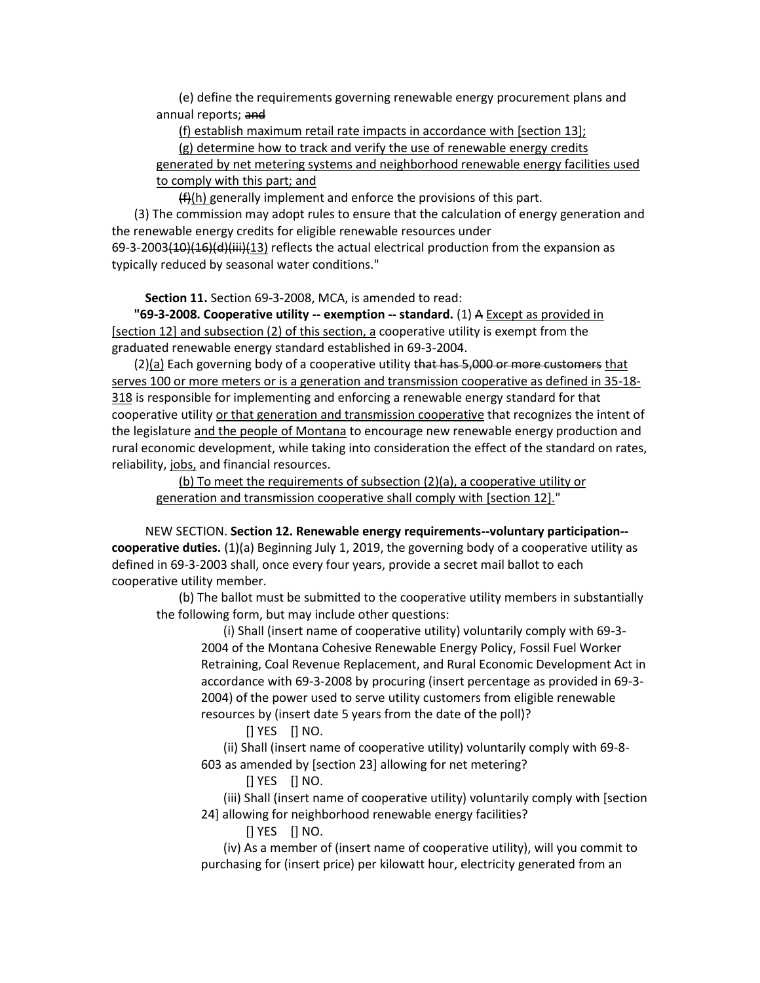(e) define the requirements governing renewable energy procurement plans and annual reports; and

(f) establish maximum retail rate impacts in accordance with [section 13];

(g) determine how to track and verify the use of renewable energy credits

generated by net metering systems and neighborhood renewable energy facilities used to comply with this part; and

 $(f)(h)$  generally implement and enforce the provisions of this part.

(3) The commission may adopt rules to ensure that the calculation of energy generation and the renewable energy credits for eligible renewable resources under

69-3-2003<del>(10)(16)(d)(iii)(</del>13) reflects the actual electrical production from the expansion as typically reduced by seasonal water conditions."

**Section 11.** Section 69-3-2008, MCA, is amended to read:

**"69-3-2008. Cooperative utility -- exemption -- standard.** (1) A Except as provided in [section 12] and subsection (2) of this section, a cooperative utility is exempt from the graduated renewable energy standard established in 69-3-2004.

(2)(a) Each governing body of a cooperative utility that has 5,000 or more customers that serves 100 or more meters or is a generation and transmission cooperative as defined in 35-18- 318 is responsible for implementing and enforcing a renewable energy standard for that cooperative utility or that generation and transmission cooperative that recognizes the intent of the legislature and the people of Montana to encourage new renewable energy production and rural economic development, while taking into consideration the effect of the standard on rates, reliability, jobs, and financial resources.

(b) To meet the requirements of subsection (2)(a), a cooperative utility or generation and transmission cooperative shall comply with [section 12]."

NEW SECTION. **Section 12. Renewable energy requirements--voluntary participation- cooperative duties.** (1)(a) Beginning July 1, 2019, the governing body of a cooperative utility as defined in 69-3-2003 shall, once every four years, provide a secret mail ballot to each cooperative utility member.

(b) The ballot must be submitted to the cooperative utility members in substantially the following form, but may include other questions:

(i) Shall (insert name of cooperative utility) voluntarily comply with 69-3- 2004 of the Montana Cohesive Renewable Energy Policy, Fossil Fuel Worker Retraining, Coal Revenue Replacement, and Rural Economic Development Act in accordance with 69-3-2008 by procuring (insert percentage as provided in 69-3- 2004) of the power used to serve utility customers from eligible renewable resources by (insert date 5 years from the date of the poll)?

[] YES [] NO.

(ii) Shall (insert name of cooperative utility) voluntarily comply with 69-8- 603 as amended by [section 23] allowing for net metering?

[] YES [] NO.

(iii) Shall (insert name of cooperative utility) voluntarily comply with [section 24] allowing for neighborhood renewable energy facilities?

[] YES [] NO.

(iv) As a member of (insert name of cooperative utility), will you commit to purchasing for (insert price) per kilowatt hour, electricity generated from an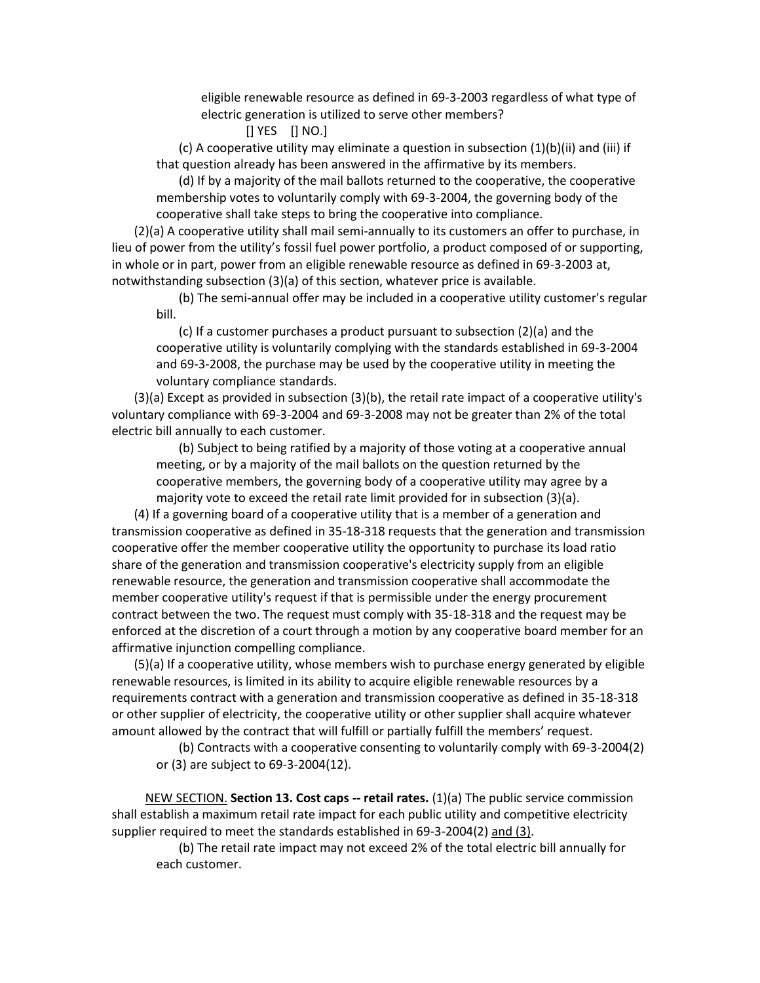eligible renewable resource as defined in 69-3-2003 regardless of what type of electric generation is utilized to serve other members?

[] YES [] NO.]

(c) A cooperative utility may eliminate a question in subsection (1)(b)(ii) and (iii) if that question already has been answered in the affirmative by its members.

(d) If by a majority of the mail ballots returned to the cooperative, the cooperative membership votes to voluntarily comply with 69-3-2004, the governing body of the cooperative shall take steps to bring the cooperative into compliance.

(2)(a) A cooperative utility shall mail semi-annually to its customers an offer to purchase, in lieu of power from the utility's fossil fuel power portfolio, a product composed of or supporting, in whole or in part, power from an eligible renewable resource as defined in 69-3-2003 at, notwithstanding subsection (3)(a) of this section, whatever price is available.

(b) The semi-annual offer may be included in a cooperative utility customer's regular bill.

(c) If a customer purchases a product pursuant to subsection (2)(a) and the cooperative utility is voluntarily complying with the standards established in 69-3-2004 and 69-3-2008, the purchase may be used by the cooperative utility in meeting the voluntary compliance standards.

(3)(a) Except as provided in subsection (3)(b), the retail rate impact of a cooperative utility's voluntary compliance with 69-3-2004 and 69-3-2008 may not be greater than 2% of the total electric bill annually to each customer.

(b) Subject to being ratified by a majority of those voting at a cooperative annual meeting, or by a majority of the mail ballots on the question returned by the cooperative members, the governing body of a cooperative utility may agree by a majority vote to exceed the retail rate limit provided for in subsection (3)(a).

(4) If a governing board of a cooperative utility that is a member of a generation and transmission cooperative as defined in 35-18-318 requests that the generation and transmission cooperative offer the member cooperative utility the opportunity to purchase its load ratio share of the generation and transmission cooperative's electricity supply from an eligible renewable resource, the generation and transmission cooperative shall accommodate the member cooperative utility's request if that is permissible under the energy procurement contract between the two. The request must comply with 35-18-318 and the request may be enforced at the discretion of a court through a motion by any cooperative board member for an affirmative injunction compelling compliance.

(5)(a) If a cooperative utility, whose members wish to purchase energy generated by eligible renewable resources, is limited in its ability to acquire eligible renewable resources by a requirements contract with a generation and transmission cooperative as defined in 35-18-318 or other supplier of electricity, the cooperative utility or other supplier shall acquire whatever amount allowed by the contract that will fulfill or partially fulfill the members' request.

(b) Contracts with a cooperative consenting to voluntarily comply with 69-3-2004(2) or (3) are subject to 69-3-2004(12).

NEW SECTION. **Section 13. Cost caps -- retail rates.** (1)(a) The public service commission shall establish a maximum retail rate impact for each public utility and competitive electricity supplier required to meet the standards established in 69-3-2004(2) and (3).

(b) The retail rate impact may not exceed 2% of the total electric bill annually for each customer.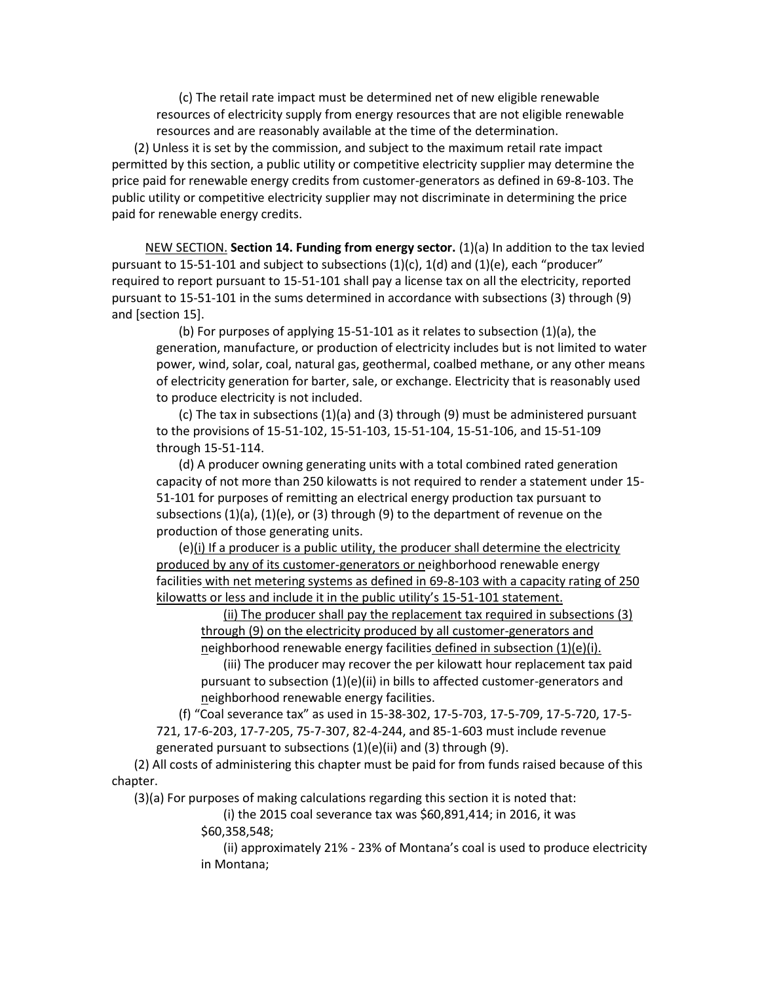(c) The retail rate impact must be determined net of new eligible renewable resources of electricity supply from energy resources that are not eligible renewable resources and are reasonably available at the time of the determination.

(2) Unless it is set by the commission, and subject to the maximum retail rate impact permitted by this section, a public utility or competitive electricity supplier may determine the price paid for renewable energy credits from customer-generators as defined in 69-8-103. The public utility or competitive electricity supplier may not discriminate in determining the price paid for renewable energy credits.

NEW SECTION. **Section 14. Funding from energy sector.** (1)(a) In addition to the tax levied pursuant to 15-51-101 and subject to subsections (1)(c), 1(d) and (1)(e), each "producer" required to report pursuant to 15-51-101 shall pay a license tax on all the electricity, reported pursuant to 15-51-101 in the sums determined in accordance with subsections (3) through (9) and [section 15].

(b) For purposes of applying 15-51-101 as it relates to subsection (1)(a), the generation, manufacture, or production of electricity includes but is not limited to water power, wind, solar, coal, natural gas, geothermal, coalbed methane, or any other means of electricity generation for barter, sale, or exchange. Electricity that is reasonably used to produce electricity is not included.

(c) The tax in subsections (1)(a) and (3) through (9) must be administered pursuant to the provisions of 15-51-102, 15-51-103, 15-51-104, 15-51-106, and 15-51-109 through 15-51-114.

(d) A producer owning generating units with a total combined rated generation capacity of not more than 250 kilowatts is not required to render a statement under 15- 51-101 for purposes of remitting an electrical energy production tax pursuant to subsections  $(1)(a)$ ,  $(1)(e)$ , or  $(3)$  through  $(9)$  to the department of revenue on the production of those generating units.

(e)(i) If a producer is a public utility, the producer shall determine the electricity produced by any of its customer-generators or neighborhood renewable energy facilities with net metering systems as defined in 69-8-103 with a capacity rating of 250 kilowatts or less and include it in the public utility's 15-51-101 statement.

(ii) The producer shall pay the replacement tax required in subsections (3) through (9) on the electricity produced by all customer-generators and neighborhood renewable energy facilities defined in subsection (1)(e)(i).

(iii) The producer may recover the per kilowatt hour replacement tax paid pursuant to subsection (1)(e)(ii) in bills to affected customer-generators and neighborhood renewable energy facilities.

(f) "Coal severance tax" as used in 15-38-302, 17-5-703, 17-5-709, 17-5-720, 17-5- 721, 17-6-203, 17-7-205, 75-7-307, 82-4-244, and 85-1-603 must include revenue generated pursuant to subsections (1)(e)(ii) and (3) through (9).

(2) All costs of administering this chapter must be paid for from funds raised because of this chapter.

(3)(a) For purposes of making calculations regarding this section it is noted that:

(i) the 2015 coal severance tax was \$60,891,414; in 2016, it was

\$60,358,548;

(ii) approximately 21% - 23% of Montana's coal is used to produce electricity in Montana;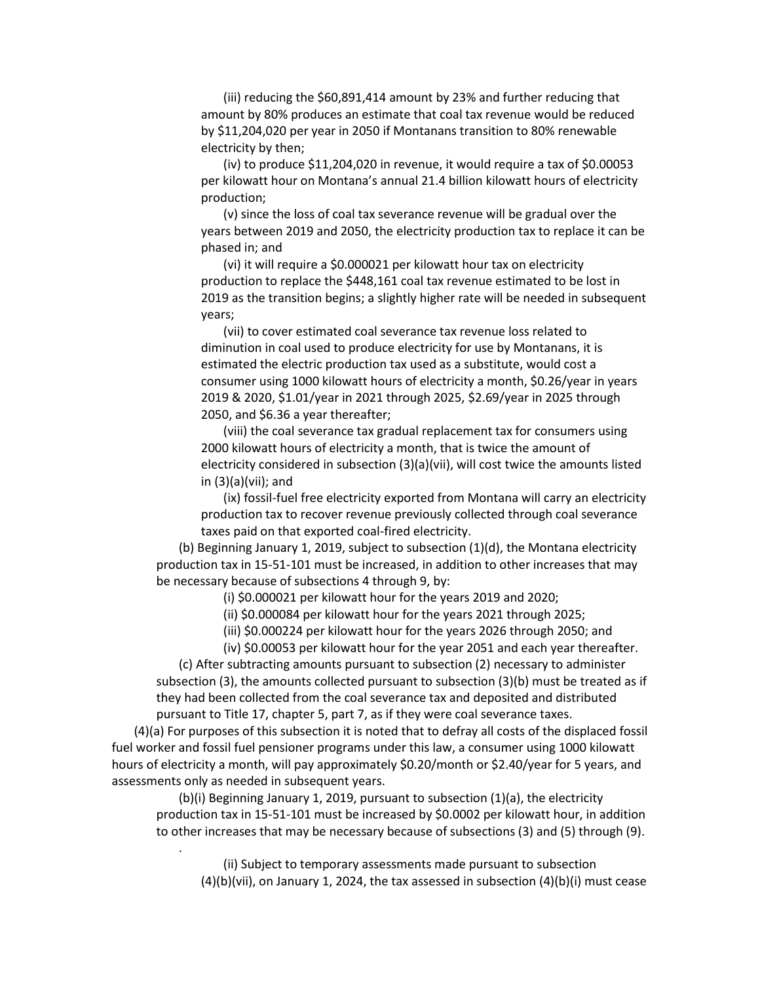(iii) reducing the \$60,891,414 amount by 23% and further reducing that amount by 80% produces an estimate that coal tax revenue would be reduced by \$11,204,020 per year in 2050 if Montanans transition to 80% renewable electricity by then;

(iv) to produce \$11,204,020 in revenue, it would require a tax of \$0.00053 per kilowatt hour on Montana's annual 21.4 billion kilowatt hours of electricity production;

(v) since the loss of coal tax severance revenue will be gradual over the years between 2019 and 2050, the electricity production tax to replace it can be phased in; and

(vi) it will require a \$0.000021 per kilowatt hour tax on electricity production to replace the \$448,161 coal tax revenue estimated to be lost in 2019 as the transition begins; a slightly higher rate will be needed in subsequent years;

(vii) to cover estimated coal severance tax revenue loss related to diminution in coal used to produce electricity for use by Montanans, it is estimated the electric production tax used as a substitute, would cost a consumer using 1000 kilowatt hours of electricity a month, \$0.26/year in years 2019 & 2020, \$1.01/year in 2021 through 2025, \$2.69/year in 2025 through 2050, and \$6.36 a year thereafter;

(viii) the coal severance tax gradual replacement tax for consumers using 2000 kilowatt hours of electricity a month, that is twice the amount of electricity considered in subsection (3)(a)(vii), will cost twice the amounts listed in (3)(a)(vii); and

(ix) fossil-fuel free electricity exported from Montana will carry an electricity production tax to recover revenue previously collected through coal severance taxes paid on that exported coal-fired electricity.

(b) Beginning January 1, 2019, subject to subsection (1)(d), the Montana electricity production tax in 15-51-101 must be increased, in addition to other increases that may be necessary because of subsections 4 through 9, by:

(i) \$0.000021 per kilowatt hour for the years 2019 and 2020;

(ii) \$0.000084 per kilowatt hour for the years 2021 through 2025;

(iii) \$0.000224 per kilowatt hour for the years 2026 through 2050; and

(iv) \$0.00053 per kilowatt hour for the year 2051 and each year thereafter.

(c) After subtracting amounts pursuant to subsection (2) necessary to administer subsection (3), the amounts collected pursuant to subsection (3)(b) must be treated as if they had been collected from the coal severance tax and deposited and distributed pursuant to Title 17, chapter 5, part 7, as if they were coal severance taxes.

(4)(a) For purposes of this subsection it is noted that to defray all costs of the displaced fossil fuel worker and fossil fuel pensioner programs under this law, a consumer using 1000 kilowatt hours of electricity a month, will pay approximately \$0.20/month or \$2.40/year for 5 years, and assessments only as needed in subsequent years.

.

(b)(i) Beginning January 1, 2019, pursuant to subsection (1)(a), the electricity production tax in 15-51-101 must be increased by \$0.0002 per kilowatt hour, in addition to other increases that may be necessary because of subsections (3) and (5) through (9).

(ii) Subject to temporary assessments made pursuant to subsection  $(4)(b)(vii)$ , on January 1, 2024, the tax assessed in subsection  $(4)(b)(i)$  must cease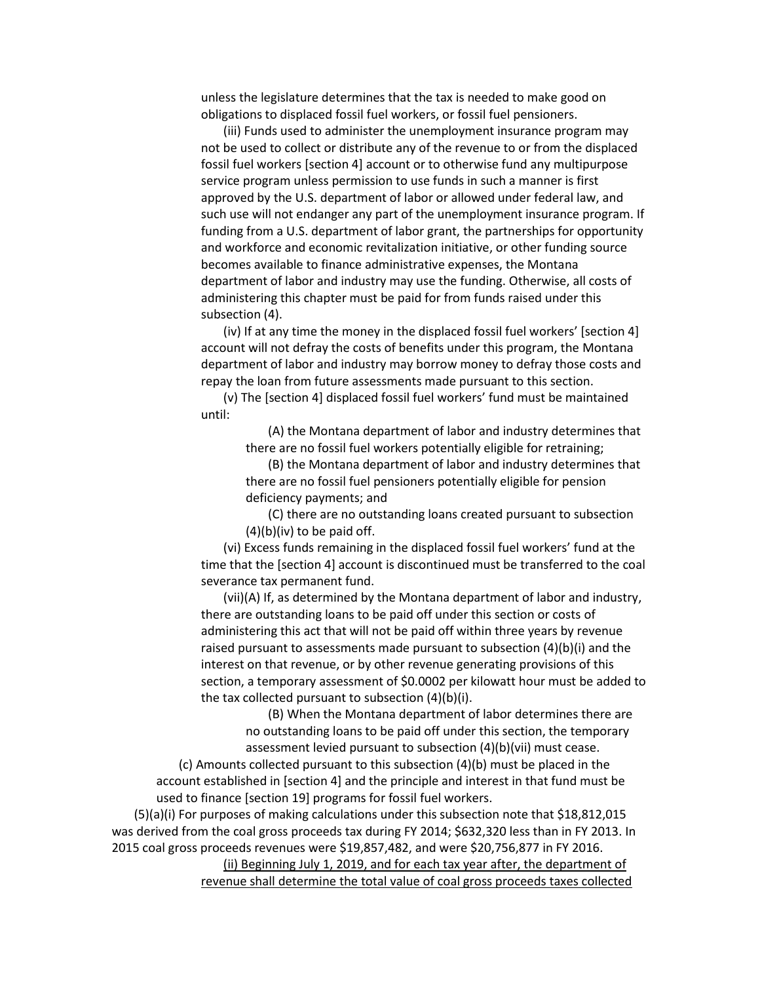unless the legislature determines that the tax is needed to make good on obligations to displaced fossil fuel workers, or fossil fuel pensioners.

(iii) Funds used to administer the unemployment insurance program may not be used to collect or distribute any of the revenue to or from the displaced fossil fuel workers [section 4] account or to otherwise fund any multipurpose service program unless permission to use funds in such a manner is first approved by the U.S. department of labor or allowed under federal law, and such use will not endanger any part of the unemployment insurance program. If funding from a U.S. department of labor grant, [the partnerships for opportunity](https://www.whitehouse.gov/the-press-office/2015/03/27/fact-sheet-partnerships-opportunity-and-workforce-and-economic-revitaliz)  [and workforce and economic revitalization initiative,](https://www.whitehouse.gov/the-press-office/2015/03/27/fact-sheet-partnerships-opportunity-and-workforce-and-economic-revitaliz) or other funding source becomes available to finance administrative expenses, the Montana department of labor and industry may use the funding. Otherwise, all costs of administering this chapter must be paid for from funds raised under this subsection (4).

(iv) If at any time the money in the displaced fossil fuel workers' [section 4] account will not defray the costs of benefits under this program, the Montana department of labor and industry may borrow money to defray those costs and repay the loan from future assessments made pursuant to this section.

(v) The [section 4] displaced fossil fuel workers' fund must be maintained until:

> (A) the Montana department of labor and industry determines that there are no fossil fuel workers potentially eligible for retraining;

> (B) the Montana department of labor and industry determines that there are no fossil fuel pensioners potentially eligible for pension deficiency payments; and

(C) there are no outstanding loans created pursuant to subsection  $(4)(b)(iv)$  to be paid off.

(vi) Excess funds remaining in the displaced fossil fuel workers' fund at the time that the [section 4] account is discontinued must be transferred to the coal severance tax permanent fund.

(vii)(A) If, as determined by the Montana department of labor and industry, there are outstanding loans to be paid off under this section or costs of administering this act that will not be paid off within three years by revenue raised pursuant to assessments made pursuant to subsection (4)(b)(i) and the interest on that revenue, or by other revenue generating provisions of this section, a temporary assessment of \$0.0002 per kilowatt hour must be added to the tax collected pursuant to subsection (4)(b)(i).

> (B) When the Montana department of labor determines there are no outstanding loans to be paid off under this section, the temporary assessment levied pursuant to subsection (4)(b)(vii) must cease.

(c) Amounts collected pursuant to this subsection (4)(b) must be placed in the account established in [section 4] and the principle and interest in that fund must be used to finance [section 19] programs for fossil fuel workers.

(5)(a)(i) For purposes of making calculations under this subsection note that \$18,812,015 was derived from the coal gross proceeds tax during FY 2014; \$632,320 less than in FY 2013. In 2015 coal gross proceeds revenues were \$19,857,482, and were \$20,756,877 in FY 2016.

> (ii) Beginning July 1, 2019, and for each tax year after, the department of revenue shall determine the total value of coal gross proceeds taxes collected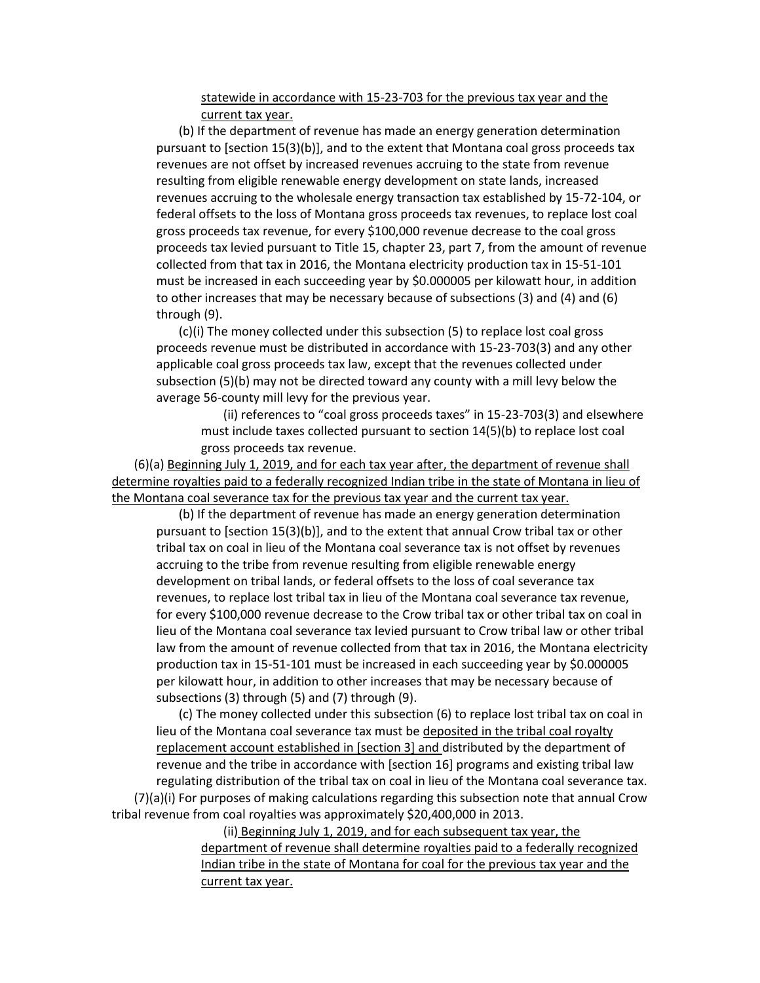statewide in accordance with 15-23-703 for the previous tax year and the current tax year.

(b) If the department of revenue has made an energy generation determination pursuant to [section 15(3)(b)], and to the extent that Montana coal gross proceeds tax revenues are not offset by increased revenues accruing to the state from revenue resulting from eligible renewable energy development on state lands, increased revenues accruing to the wholesale energy transaction tax established by 15-72-104, or federal offsets to the loss of Montana gross proceeds tax revenues, to replace lost coal gross proceeds tax revenue, for every \$100,000 revenue decrease to the coal gross proceeds tax levied pursuant to Title 15, chapter 23, part 7, from the amount of revenue collected from that tax in 2016, the Montana electricity production tax in 15-51-101 must be increased in each succeeding year by \$0.000005 per kilowatt hour, in addition to other increases that may be necessary because of subsections (3) and (4) and (6) through (9).

(c)(i) The money collected under this subsection (5) to replace lost coal gross proceeds revenue must be distributed in accordance with 15-23-703(3) and any other applicable coal gross proceeds tax law, except that the revenues collected under subsection (5)(b) may not be directed toward any county with a mill levy below the average 56-county mill levy for the previous year.

(ii) references to "coal gross proceeds taxes" in 15-23-703(3) and elsewhere must include taxes collected pursuant to section 14(5)(b) to replace lost coal gross proceeds tax revenue.

(6)(a) Beginning July 1, 2019, and for each tax year after, the department of revenue shall determine royalties paid to a federally recognized Indian tribe in the state of Montana in lieu of the Montana coal severance tax for the previous tax year and the current tax year.

(b) If the department of revenue has made an energy generation determination pursuant to [section 15(3)(b)], and to the extent that annual Crow tribal tax or other tribal tax on coal in lieu of the Montana coal severance tax is not offset by revenues accruing to the tribe from revenue resulting from eligible renewable energy development on tribal lands, or federal offsets to the loss of coal severance tax revenues, to replace lost tribal tax in lieu of the Montana coal severance tax revenue, for every \$100,000 revenue decrease to the Crow tribal tax or other tribal tax on coal in lieu of the Montana coal severance tax levied pursuant to Crow tribal law or other tribal law from the amount of revenue collected from that tax in 2016, the Montana electricity production tax in 15-51-101 must be increased in each succeeding year by \$0.000005 per kilowatt hour, in addition to other increases that may be necessary because of subsections (3) through (5) and (7) through (9).

(c) The money collected under this subsection (6) to replace lost tribal tax on coal in lieu of the Montana coal severance tax must be deposited in the tribal coal royalty replacement account established in [section 3] and distributed by the department of revenue and the tribe in accordance with [section 16] programs and existing tribal law regulating distribution of the tribal tax on coal in lieu of the Montana coal severance tax. (7)(a)(i) For purposes of making calculations regarding this subsection note that annual Crow tribal revenue from coal royalties was approximately \$20,400,000 in 2013.

> (ii) Beginning July 1, 2019, and for each subsequent tax year, the department of revenue shall determine royalties paid to a federally recognized Indian tribe in the state of Montana for coal for the previous tax year and the current tax year.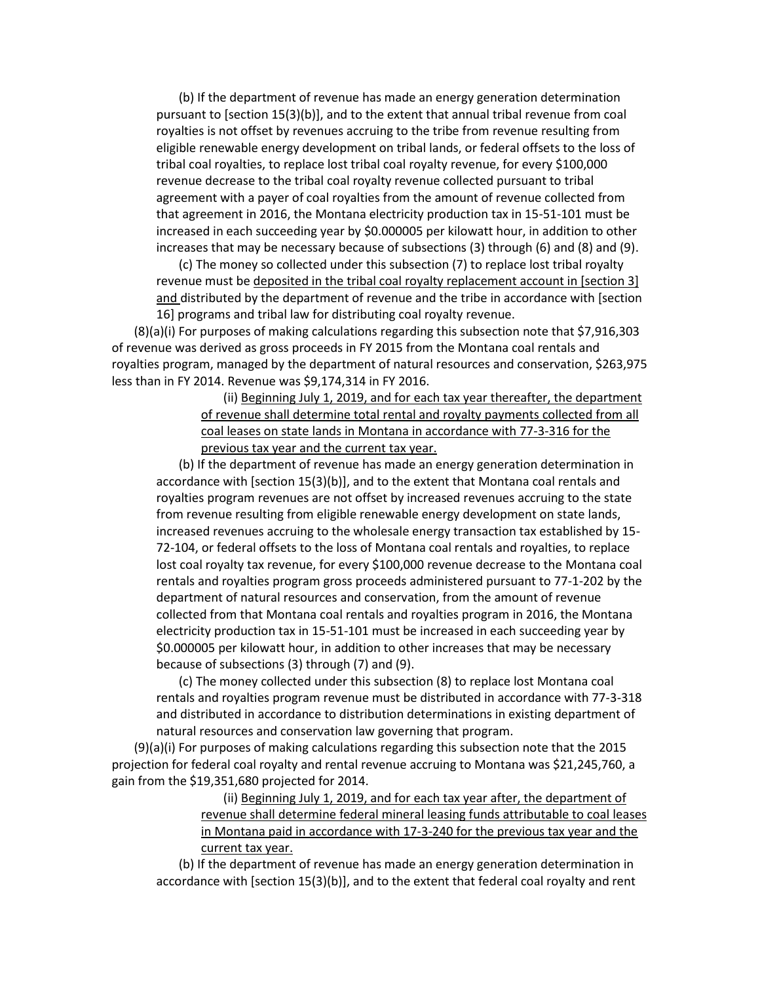(b) If the department of revenue has made an energy generation determination pursuant to [section 15(3)(b)], and to the extent that annual tribal revenue from coal royalties is not offset by revenues accruing to the tribe from revenue resulting from eligible renewable energy development on tribal lands, or federal offsets to the loss of tribal coal royalties, to replace lost tribal coal royalty revenue, for every \$100,000 revenue decrease to the tribal coal royalty revenue collected pursuant to tribal agreement with a payer of coal royalties from the amount of revenue collected from that agreement in 2016, the Montana electricity production tax in 15-51-101 must be increased in each succeeding year by \$0.000005 per kilowatt hour, in addition to other increases that may be necessary because of subsections (3) through (6) and (8) and (9).

(c) The money so collected under this subsection (7) to replace lost tribal royalty revenue must be deposited in the tribal coal royalty replacement account in [section 3] and distributed by the department of revenue and the tribe in accordance with [section 16] programs and tribal law for distributing coal royalty revenue.

 $(8)(a)(i)$  For purposes of making calculations regarding this subsection note that \$7,916,303 of revenue was derived as gross proceeds in FY 2015 from the Montana coal rentals and royalties program, managed by the department of natural resources and conservation, \$263,975 less than in FY 2014. Revenue was \$9,174,314 in FY 2016.

> (ii) Beginning July 1, 2019, and for each tax year thereafter, the department of revenue shall determine total rental and royalty payments collected from all coal leases on state lands in Montana in accordance with 77-3-316 for the previous tax year and the current tax year.

(b) If the department of revenue has made an energy generation determination in accordance with [section 15(3)(b)], and to the extent that Montana coal rentals and royalties program revenues are not offset by increased revenues accruing to the state from revenue resulting from eligible renewable energy development on state lands, increased revenues accruing to the wholesale energy transaction tax established by 15- 72-104, or federal offsets to the loss of Montana coal rentals and royalties, to replace lost coal royalty tax revenue, for every \$100,000 revenue decrease to the Montana coal rentals and royalties program gross proceeds administered pursuant to 77-1-202 by the department of natural resources and conservation, from the amount of revenue collected from that Montana coal rentals and royalties program in 2016, the Montana electricity production tax in 15-51-101 must be increased in each succeeding year by \$0.000005 per kilowatt hour, in addition to other increases that may be necessary because of subsections (3) through (7) and (9).

(c) The money collected under this subsection (8) to replace lost Montana coal rentals and royalties program revenue must be distributed in accordance with 77-3-318 and distributed in accordance to distribution determinations in existing department of natural resources and conservation law governing that program.

(9)(a)(i) For purposes of making calculations regarding this subsection note that the 2015 projection for federal coal royalty and rental revenue accruing to Montana was \$21,245,760, a gain from the \$19,351,680 projected for 2014.

> (ii) Beginning July 1, 2019, and for each tax year after, the department of revenue shall determine federal mineral leasing funds attributable to coal leases in Montana paid in accordance with 17-3-240 for the previous tax year and the current tax year.

(b) If the department of revenue has made an energy generation determination in accordance with [section 15(3)(b)], and to the extent that federal coal royalty and rent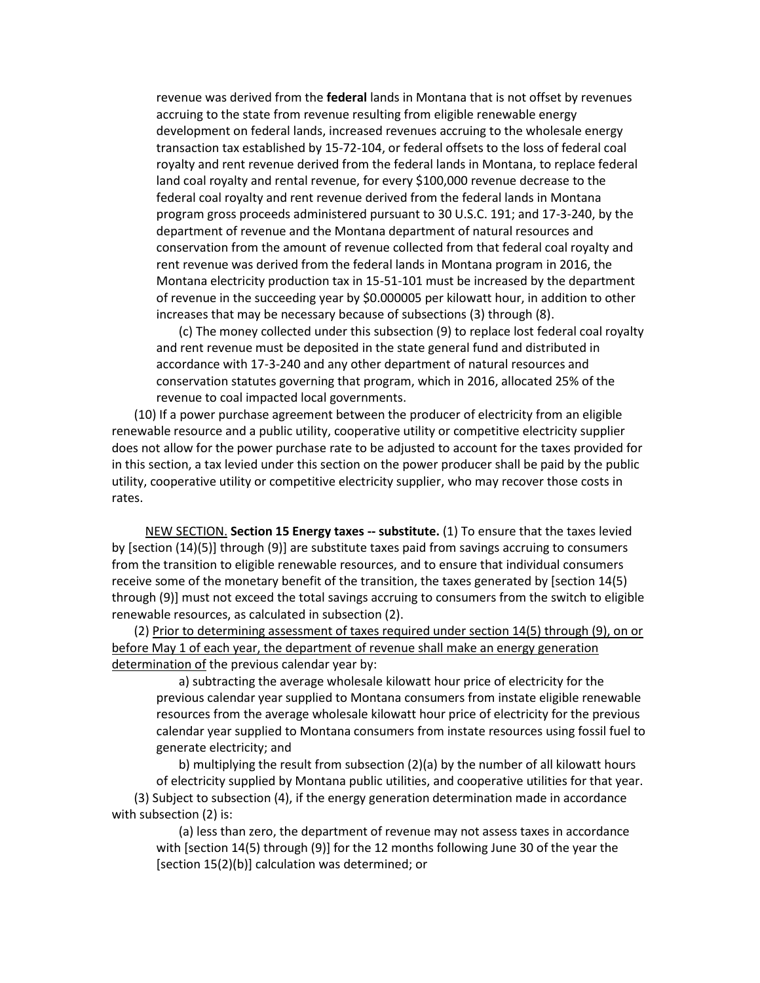revenue was derived from the **federal** lands in Montana that is not offset by revenues accruing to the state from revenue resulting from eligible renewable energy development on federal lands, increased revenues accruing to the wholesale energy transaction tax established by 15-72-104, or federal offsets to the loss of federal coal royalty and rent revenue derived from the federal lands in Montana, to replace federal land coal royalty and rental revenue, for every \$100,000 revenue decrease to the federal coal royalty and rent revenue derived from the federal lands in Montana program gross proceeds administered pursuant to 30 U.S.C. 191; and 17-3-240, by the department of revenue and the Montana department of natural resources and conservation from the amount of revenue collected from that federal coal royalty and rent revenue was derived from the federal lands in Montana program in 2016, the Montana electricity production tax in 15-51-101 must be increased by the department of revenue in the succeeding year by \$0.000005 per kilowatt hour, in addition to other increases that may be necessary because of subsections (3) through (8).

(c) The money collected under this subsection (9) to replace lost federal coal royalty and rent revenue must be deposited in the state general fund and distributed in accordance with 17-3-240 and any other department of natural resources and conservation statutes governing that program, which in 2016, allocated 25% of the revenue to coal impacted local governments.

(10) If a power purchase agreement between the producer of electricity from an eligible renewable resource and a public utility, cooperative utility or competitive electricity supplier does not allow for the power purchase rate to be adjusted to account for the taxes provided for in this section, a tax levied under this section on the power producer shall be paid by the public utility, cooperative utility or competitive electricity supplier, who may recover those costs in rates.

NEW SECTION. **Section 15 Energy taxes -- substitute.** (1) To ensure that the taxes levied by [section (14)(5)] through (9)] are substitute taxes paid from savings accruing to consumers from the transition to eligible renewable resources, and to ensure that individual consumers receive some of the monetary benefit of the transition, the taxes generated by [section 14(5) through (9)] must not exceed the total savings accruing to consumers from the switch to eligible renewable resources, as calculated in subsection (2).

(2) Prior to determining assessment of taxes required under section 14(5) through (9), on or before May 1 of each year, the department of revenue shall make an energy generation determination of the previous calendar year by:

a) subtracting the average wholesale kilowatt hour price of electricity for the previous calendar year supplied to Montana consumers from instate eligible renewable resources from the average wholesale kilowatt hour price of electricity for the previous calendar year supplied to Montana consumers from instate resources using fossil fuel to generate electricity; and

b) multiplying the result from subsection (2)(a) by the number of all kilowatt hours of electricity supplied by Montana public utilities, and cooperative utilities for that year. (3) Subject to subsection (4), if the energy generation determination made in accordance with subsection (2) is:

(a) less than zero, the department of revenue may not assess taxes in accordance with [section 14(5) through (9)] for the 12 months following June 30 of the year the [section 15(2)(b)] calculation was determined; or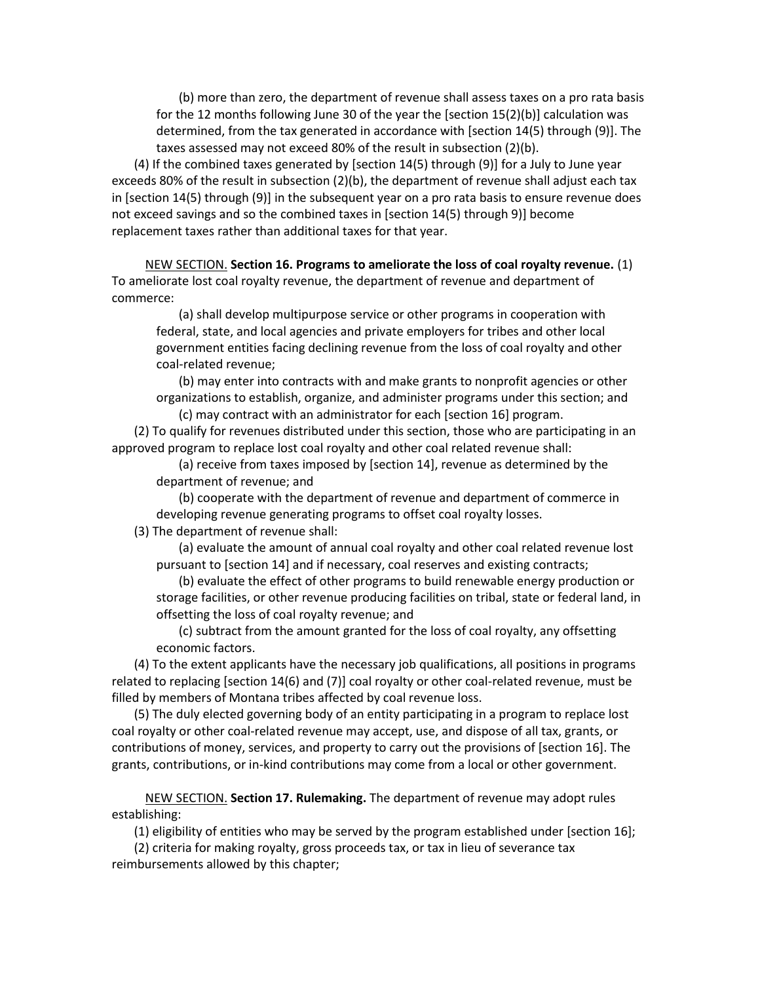(b) more than zero, the department of revenue shall assess taxes on a pro rata basis for the 12 months following June 30 of the year the [section 15(2)(b)] calculation was determined, from the tax generated in accordance with [section 14(5) through (9)]. The taxes assessed may not exceed 80% of the result in subsection (2)(b).

(4) If the combined taxes generated by [section 14(5) through (9)] for a July to June year exceeds 80% of the result in subsection (2)(b), the department of revenue shall adjust each tax in [section 14(5) through (9)] in the subsequent year on a pro rata basis to ensure revenue does not exceed savings and so the combined taxes in [section 14(5) through 9)] become replacement taxes rather than additional taxes for that year.

NEW SECTION. **Section 16. Programs to ameliorate the loss of coal royalty revenue.** (1) To ameliorate lost coal royalty revenue, the department of revenue and department of commerce:

(a) shall develop multipurpose service or other programs in cooperation with federal, state, and local agencies and private employers for tribes and other local government entities facing declining revenue from the loss of coal royalty and other coal-related revenue;

(b) may enter into contracts with and make grants to nonprofit agencies or other organizations to establish, organize, and administer programs under this section; and (c) may contract with an administrator for each [section 16] program.

(2) To qualify for revenues distributed under this section, those who are participating in an approved program to replace lost coal royalty and other coal related revenue shall:

(a) receive from taxes imposed by [section 14], revenue as determined by the department of revenue; and

(b) cooperate with the department of revenue and department of commerce in developing revenue generating programs to offset coal royalty losses.

(3) The department of revenue shall:

(a) evaluate the amount of annual coal royalty and other coal related revenue lost pursuant to [section 14] and if necessary, coal reserves and existing contracts;

(b) evaluate the effect of other programs to build renewable energy production or storage facilities, or other revenue producing facilities on tribal, state or federal land, in offsetting the loss of coal royalty revenue; and

(c) subtract from the amount granted for the loss of coal royalty, any offsetting economic factors.

(4) To the extent applicants have the necessary job qualifications, all positions in programs related to replacing [section 14(6) and (7)] coal royalty or other coal-related revenue, must be filled by members of Montana tribes affected by coal revenue loss.

(5) The duly elected governing body of an entity participating in a program to replace lost coal royalty or other coal-related revenue may accept, use, and dispose of all tax, grants, or contributions of money, services, and property to carry out the provisions of [section 16]. The grants, contributions, or in-kind contributions may come from a local or other government.

NEW SECTION. **Section 17. Rulemaking.** The department of revenue may adopt rules establishing:

(1) eligibility of entities who may be served by the program established under [section 16];

(2) criteria for making royalty, gross proceeds tax, or tax in lieu of severance tax reimbursements allowed by this chapter;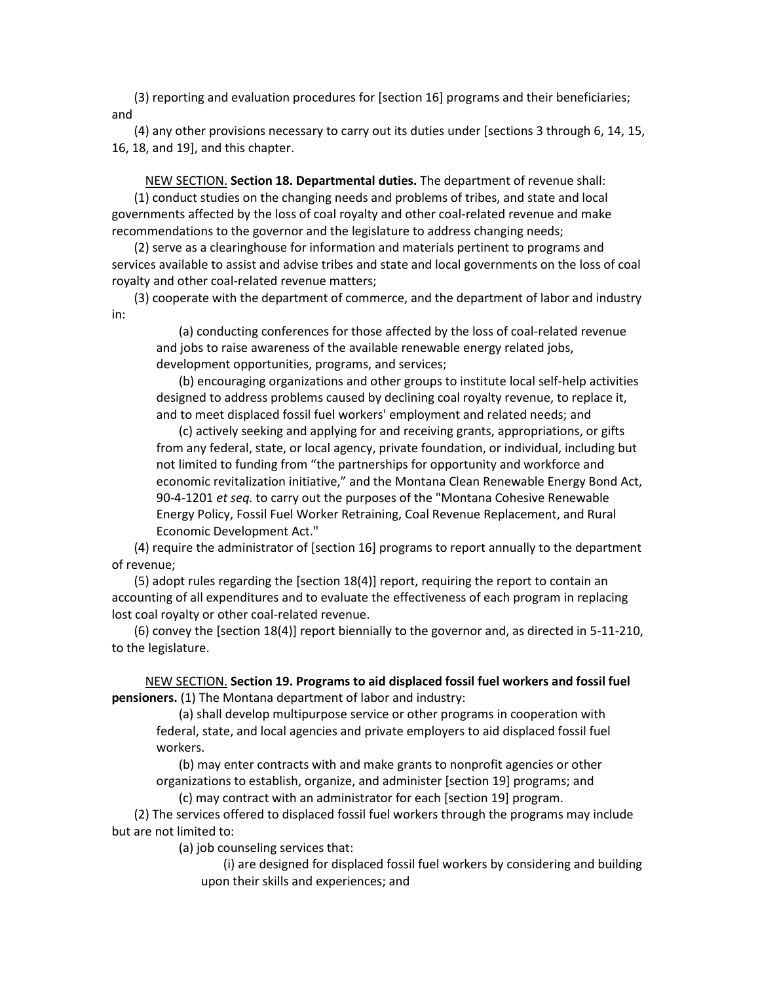(3) reporting and evaluation procedures for [section 16] programs and their beneficiaries; and

(4) any other provisions necessary to carry out its duties under [sections 3 through 6, 14, 15, 16, 18, and 19], and this chapter.

NEW SECTION. **Section 18. Departmental duties.** The department of revenue shall: (1) conduct studies on the changing needs and problems of tribes, and state and local governments affected by the loss of coal royalty and other coal-related revenue and make recommendations to the governor and the legislature to address changing needs;

(2) serve as a clearinghouse for information and materials pertinent to programs and services available to assist and advise tribes and state and local governments on the loss of coal royalty and other coal-related revenue matters;

(3) cooperate with the department of commerce, and the department of labor and industry in:

(a) conducting conferences for those affected by the loss of coal-related revenue and jobs to raise awareness of the available renewable energy related jobs, development opportunities, programs, and services;

(b) encouraging organizations and other groups to institute local self-help activities designed to address problems caused by declining coal royalty revenue, to replace it, and to meet displaced fossil fuel workers' employment and related needs; and

(c) actively seeking and applying for and receiving grants, appropriations, or gifts from any federal, state, or local agency, private foundation, or individual, including but not limited to funding from "the partnerships for opportunity and workforce and economic revitalization initiative," and the Montana Clean Renewable Energy Bond Act, 90-4-1201 *et seq.* to carry out the purposes of the "Montana Cohesive Renewable Energy Policy, Fossil Fuel Worker Retraining, Coal Revenue Replacement, and Rural Economic Development Act."

(4) require the administrator of [section 16] programs to report annually to the department of revenue;

(5) adopt rules regarding the [section 18(4)] report, requiring the report to contain an accounting of all expenditures and to evaluate the effectiveness of each program in replacing lost coal royalty or other coal-related revenue.

(6) convey the [section 18(4)] report biennially to the governor and, as directed in 5-11-210, to the legislature.

NEW SECTION. **Section 19. Programs to aid displaced fossil fuel workers and fossil fuel pensioners.** (1) The Montana department of labor and industry:

(a) shall develop multipurpose service or other programs in cooperation with federal, state, and local agencies and private employers to aid displaced fossil fuel workers.

(b) may enter contracts with and make grants to nonprofit agencies or other organizations to establish, organize, and administer [section 19] programs; and (c) may contract with an administrator for each [section 19] program.

(2) The services offered to displaced fossil fuel workers through the programs may include but are not limited to:

(a) job counseling services that:

(i) are designed for displaced fossil fuel workers by considering and building upon their skills and experiences; and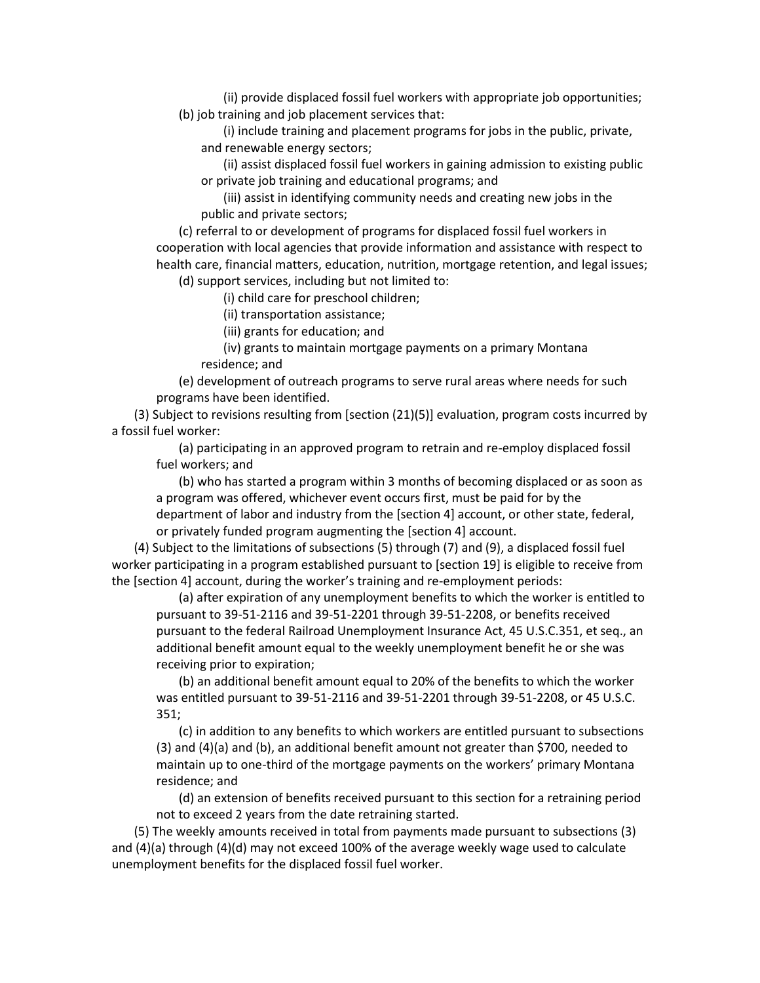(ii) provide displaced fossil fuel workers with appropriate job opportunities; (b) job training and job placement services that:

(i) include training and placement programs for jobs in the public, private, and renewable energy sectors;

(ii) assist displaced fossil fuel workers in gaining admission to existing public or private job training and educational programs; and

(iii) assist in identifying community needs and creating new jobs in the public and private sectors;

(c) referral to or development of programs for displaced fossil fuel workers in cooperation with local agencies that provide information and assistance with respect to health care, financial matters, education, nutrition, mortgage retention, and legal issues;

(d) support services, including but not limited to:

(i) child care for preschool children;

(ii) transportation assistance;

(iii) grants for education; and

(iv) grants to maintain mortgage payments on a primary Montana residence; and

(e) development of outreach programs to serve rural areas where needs for such programs have been identified.

(3) Subject to revisions resulting from [section (21)(5)] evaluation, program costs incurred by a fossil fuel worker:

(a) participating in an approved program to retrain and re-employ displaced fossil fuel workers; and

(b) who has started a program within 3 months of becoming displaced or as soon as a program was offered, whichever event occurs first, must be paid for by the department of labor and industry from the [section 4] account, or other state, federal, or privately funded program augmenting the [section 4] account.

(4) Subject to the limitations of subsections (5) through (7) and (9), a displaced fossil fuel worker participating in a program established pursuant to [section 19] is eligible to receive from the [section 4] account, during the worker's training and re-employment periods:

(a) after expiration of any unemployment benefits to which the worker is entitled to pursuant to 39-51-2116 and 39-51-2201 through 39-51-2208, or benefits received pursuant to the federal Railroad Unemployment Insurance Act, 45 U.S.C.351, et seq., an additional benefit amount equal to the weekly unemployment benefit he or she was receiving prior to expiration;

(b) an additional benefit amount equal to 20% of the benefits to which the worker was entitled pursuant to 39-51-2116 and 39-51-2201 through 39-51-2208, or 45 U.S.C. 351;

(c) in addition to any benefits to which workers are entitled pursuant to subsections (3) and (4)(a) and (b), an additional benefit amount not greater than \$700, needed to maintain up to one-third of the mortgage payments on the workers' primary Montana residence; and

(d) an extension of benefits received pursuant to this section for a retraining period not to exceed 2 years from the date retraining started.

(5) The weekly amounts received in total from payments made pursuant to subsections (3) and (4)(a) through (4)(d) may not exceed 100% of the average weekly wage used to calculate unemployment benefits for the displaced fossil fuel worker.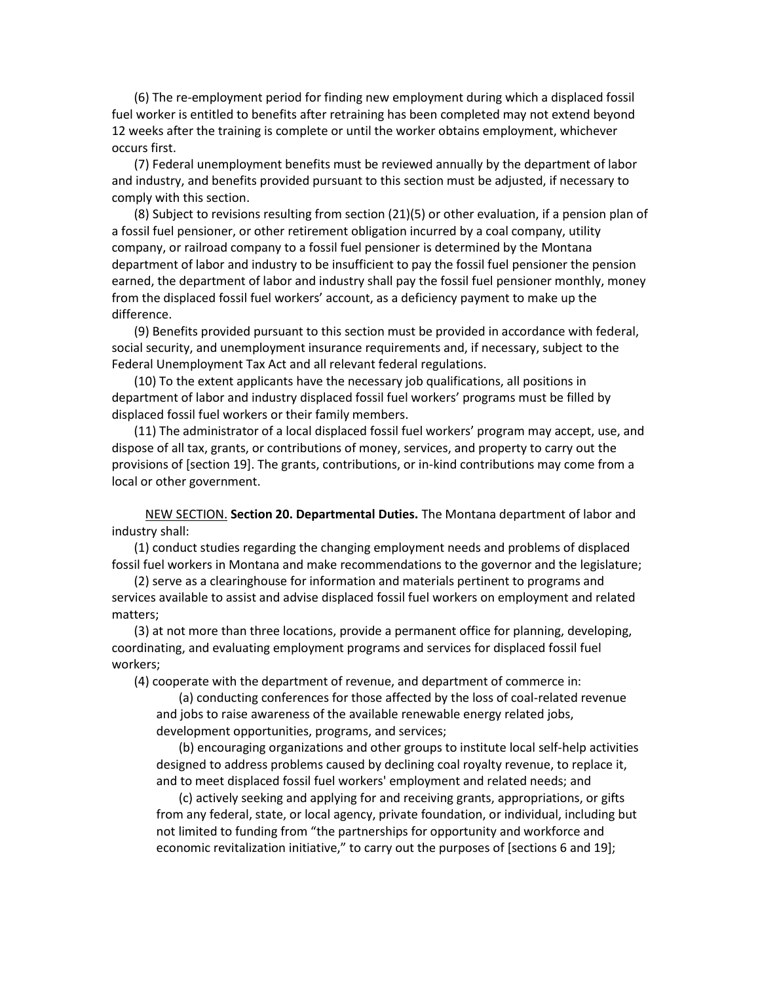(6) The re-employment period for finding new employment during which a displaced fossil fuel worker is entitled to benefits after retraining has been completed may not extend beyond 12 weeks after the training is complete or until the worker obtains employment, whichever occurs first.

(7) Federal unemployment benefits must be reviewed annually by the department of labor and industry, and benefits provided pursuant to this section must be adjusted, if necessary to comply with this section.

(8) Subject to revisions resulting from section (21)(5) or other evaluation, if a pension plan of a fossil fuel pensioner, or other retirement obligation incurred by a coal company, utility company, or railroad company to a fossil fuel pensioner is determined by the Montana department of labor and industry to be insufficient to pay the fossil fuel pensioner the pension earned, the department of labor and industry shall pay the fossil fuel pensioner monthly, money from the displaced fossil fuel workers' account, as a deficiency payment to make up the difference.

(9) Benefits provided pursuant to this section must be provided in accordance with federal, social security, and unemployment insurance requirements and, if necessary, subject to the Federal Unemployment Tax Act and all relevant federal regulations.

(10) To the extent applicants have the necessary job qualifications, all positions in department of labor and industry displaced fossil fuel workers' programs must be filled by displaced fossil fuel workers or their family members.

(11) The administrator of a local displaced fossil fuel workers' program may accept, use, and dispose of all tax, grants, or contributions of money, services, and property to carry out the provisions of [section 19]. The grants, contributions, or in-kind contributions may come from a local or other government.

NEW SECTION. **Section 20. Departmental Duties.** The Montana department of labor and industry shall:

(1) conduct studies regarding the changing employment needs and problems of displaced fossil fuel workers in Montana and make recommendations to the governor and the legislature;

(2) serve as a clearinghouse for information and materials pertinent to programs and services available to assist and advise displaced fossil fuel workers on employment and related matters;

(3) at not more than three locations, provide a permanent office for planning, developing, coordinating, and evaluating employment programs and services for displaced fossil fuel workers;

(4) cooperate with the department of revenue, and department of commerce in:

(a) conducting conferences for those affected by the loss of coal-related revenue and jobs to raise awareness of the available renewable energy related jobs, development opportunities, programs, and services;

(b) encouraging organizations and other groups to institute local self-help activities designed to address problems caused by declining coal royalty revenue, to replace it, and to meet displaced fossil fuel workers' employment and related needs; and

(c) actively seeking and applying for and receiving grants, appropriations, or gifts from any federal, state, or local agency, private foundation, or individual, including but not limited to funding from "the partnerships for opportunity and workforce and economic revitalization initiative," to carry out the purposes of [sections 6 and 19];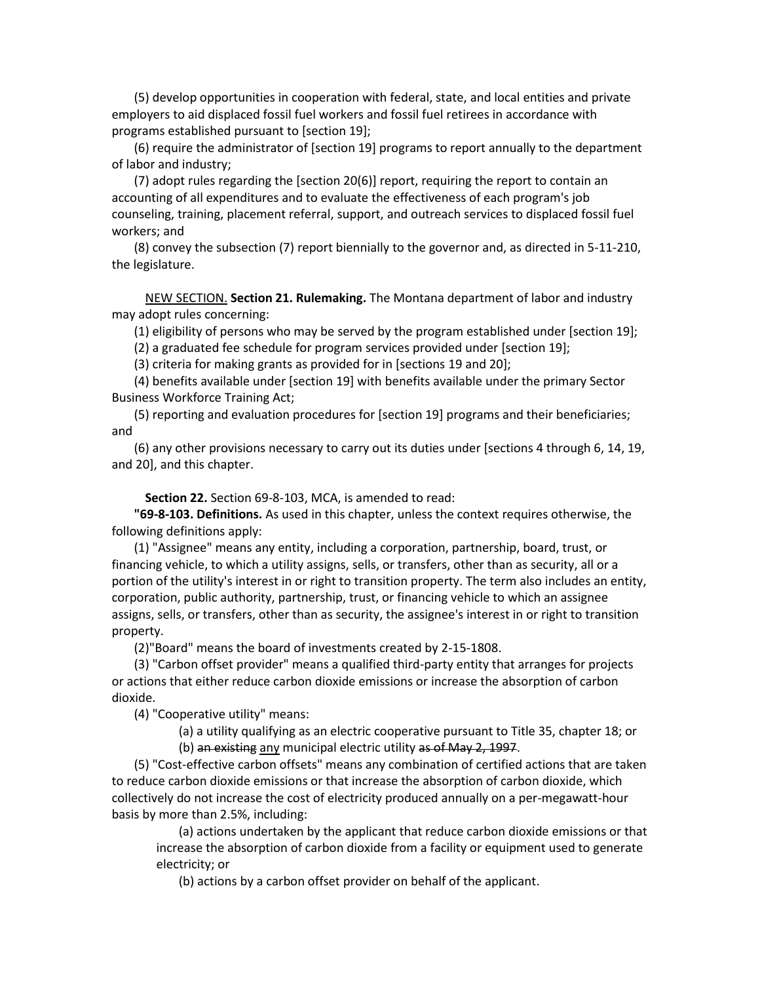(5) develop opportunities in cooperation with federal, state, and local entities and private employers to aid displaced fossil fuel workers and fossil fuel retirees in accordance with programs established pursuant to [section 19];

(6) require the administrator of [section 19] programs to report annually to the department of labor and industry;

(7) adopt rules regarding the [section 20(6)] report, requiring the report to contain an accounting of all expenditures and to evaluate the effectiveness of each program's job counseling, training, placement referral, support, and outreach services to displaced fossil fuel workers; and

(8) convey the subsection (7) report biennially to the governor and, as directed in 5-11-210, the legislature.

NEW SECTION. **Section 21. Rulemaking.** The Montana department of labor and industry may adopt rules concerning:

(1) eligibility of persons who may be served by the program established under [section 19];

(2) a graduated fee schedule for program services provided under [section 19];

(3) criteria for making grants as provided for in [sections 19 and 20];

(4) benefits available under [section 19] with benefits available under the primary Sector Business Workforce Training Act;

(5) reporting and evaluation procedures for [section 19] programs and their beneficiaries; and

(6) any other provisions necessary to carry out its duties under [sections 4 through 6, 14, 19, and 20], and this chapter.

**Section 22.** Section 69-8-103, MCA, is amended to read:

**"69-8-103. Definitions.** As used in this chapter, unless the context requires otherwise, the following definitions apply:

(1) "Assignee" means any entity, including a corporation, partnership, board, trust, or financing vehicle, to which a utility assigns, sells, or transfers, other than as security, all or a portion of the utility's interest in or right to transition property. The term also includes an entity, corporation, public authority, partnership, trust, or financing vehicle to which an assignee assigns, sells, or transfers, other than as security, the assignee's interest in or right to transition property.

(2)"Board" means the board of investments created by 2-15-1808.

(3) "Carbon offset provider" means a qualified third-party entity that arranges for projects or actions that either reduce carbon dioxide emissions or increase the absorption of carbon dioxide.

(4) "Cooperative utility" means:

(a) a utility qualifying as an electric cooperative pursuant to Title 35, chapter 18; or

(b) an existing any municipal electric utility as of May 2, 1997.

(5) "Cost-effective carbon offsets" means any combination of certified actions that are taken to reduce carbon dioxide emissions or that increase the absorption of carbon dioxide, which collectively do not increase the cost of electricity produced annually on a per-megawatt-hour basis by more than 2.5%, including:

(a) actions undertaken by the applicant that reduce carbon dioxide emissions or that increase the absorption of carbon dioxide from a facility or equipment used to generate electricity; or

(b) actions by a carbon offset provider on behalf of the applicant.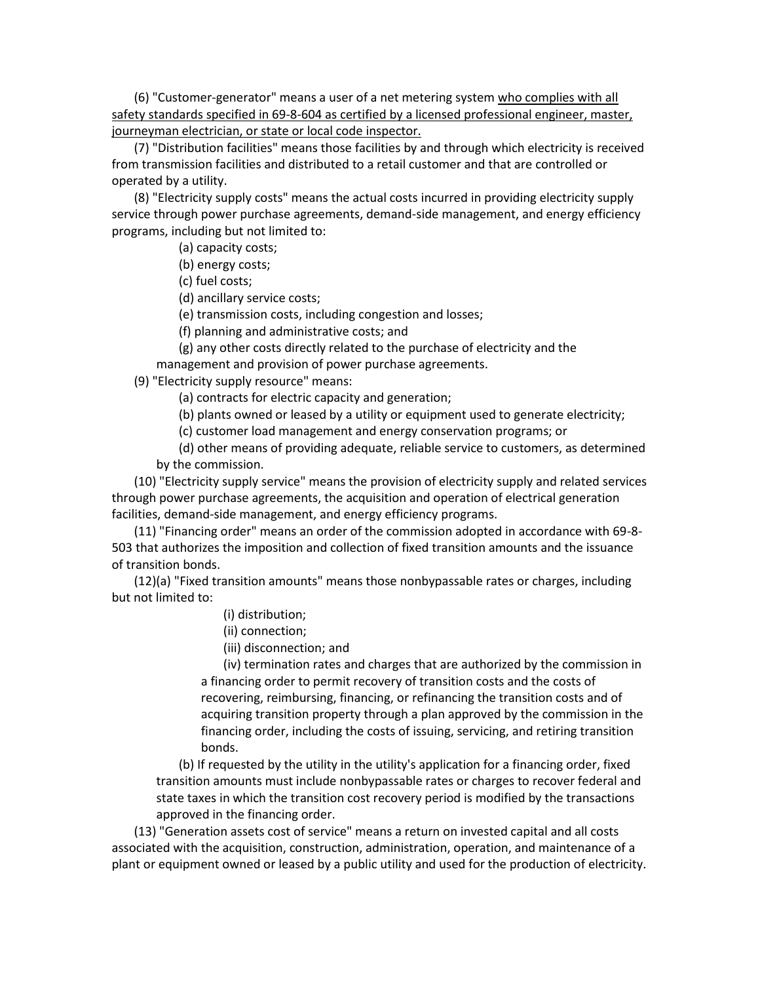(6) "Customer-generator" means a user of a net metering system who complies with all safety standards specified in 69-8-604 as certified by a licensed professional engineer, master, journeyman electrician, or state or local code inspector.

(7) "Distribution facilities" means those facilities by and through which electricity is received from transmission facilities and distributed to a retail customer and that are controlled or operated by a utility.

(8) "Electricity supply costs" means the actual costs incurred in providing electricity supply service through power purchase agreements, demand-side management, and energy efficiency programs, including but not limited to:

(a) capacity costs;

(b) energy costs;

(c) fuel costs;

(d) ancillary service costs;

(e) transmission costs, including congestion and losses;

(f) planning and administrative costs; and

(g) any other costs directly related to the purchase of electricity and the management and provision of power purchase agreements.

(9) "Electricity supply resource" means:

(a) contracts for electric capacity and generation;

(b) plants owned or leased by a utility or equipment used to generate electricity;

(c) customer load management and energy conservation programs; or

(d) other means of providing adequate, reliable service to customers, as determined by the commission.

(10) "Electricity supply service" means the provision of electricity supply and related services through power purchase agreements, the acquisition and operation of electrical generation facilities, demand-side management, and energy efficiency programs.

(11) "Financing order" means an order of the commission adopted in accordance with 69-8- 503 that authorizes the imposition and collection of fixed transition amounts and the issuance of transition bonds.

(12)(a) "Fixed transition amounts" means those nonbypassable rates or charges, including but not limited to:

- (i) distribution;
- (ii) connection;
- (iii) disconnection; and

(iv) termination rates and charges that are authorized by the commission in a financing order to permit recovery of transition costs and the costs of recovering, reimbursing, financing, or refinancing the transition costs and of acquiring transition property through a plan approved by the commission in the financing order, including the costs of issuing, servicing, and retiring transition bonds.

(b) If requested by the utility in the utility's application for a financing order, fixed transition amounts must include nonbypassable rates or charges to recover federal and state taxes in which the transition cost recovery period is modified by the transactions approved in the financing order.

(13) "Generation assets cost of service" means a return on invested capital and all costs associated with the acquisition, construction, administration, operation, and maintenance of a plant or equipment owned or leased by a public utility and used for the production of electricity.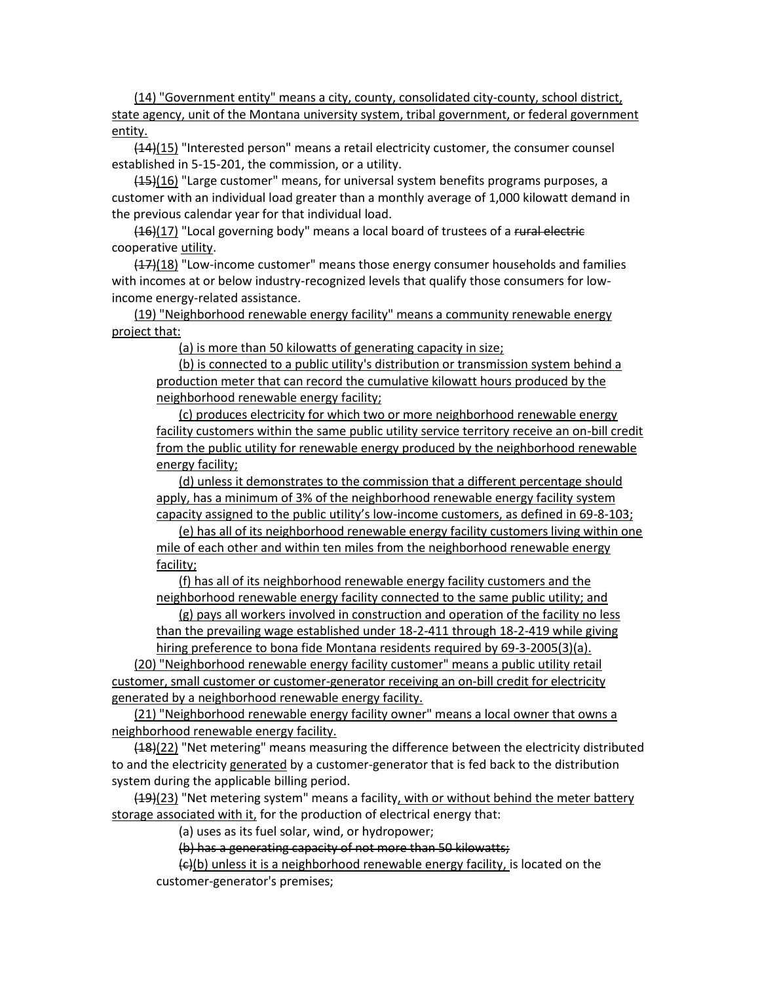(14) "Government entity" means a city, county, consolidated city-county, school district, state agency, unit of the Montana university system, tribal government, or federal government entity.

 $(14)(15)$  "Interested person" means a retail electricity customer, the consumer counsel established in 5-15-201, the commission, or a utility.

(15)(16) "Large customer" means, for universal system benefits programs purposes, a customer with an individual load greater than a monthly average of 1,000 kilowatt demand in the previous calendar year for that individual load.

 $(16)(17)$  "Local governing body" means a local board of trustees of a rural electric cooperative utility.

 $(17)(18)$  "Low-income customer" means those energy consumer households and families with incomes at or below industry-recognized levels that qualify those consumers for lowincome energy-related assistance.

(19) "Neighborhood renewable energy facility" means a community renewable energy project that:

(a) is more than 50 kilowatts of generating capacity in size;

(b) is connected to a public utility's distribution or transmission system behind a production meter that can record the cumulative kilowatt hours produced by the neighborhood renewable energy facility;

(c) produces electricity for which two or more neighborhood renewable energy facility customers within the same public utility service territory receive an on-bill credit from the public utility for renewable energy produced by the neighborhood renewable energy facility;

(d) unless it demonstrates to the commission that a different percentage should apply, has a minimum of 3% of the neighborhood renewable energy facility system capacity assigned to the public utility's low-income customers, as defined in 69-8-103;

(e) has all of its neighborhood renewable energy facility customers living within one mile of each other and within ten miles from the neighborhood renewable energy facility;

(f) has all of its neighborhood renewable energy facility customers and the neighborhood renewable energy facility connected to the same public utility; and

(g) pays all workers involved in construction and operation of the facility no less than the prevailing wage established under 18-2-411 through 18-2-419 while giving hiring preference to bona fide Montana residents required by 69-3-2005(3)(a).

(20) "Neighborhood renewable energy facility customer" means a public utility retail customer, small customer or customer-generator receiving an on-bill credit for electricity generated by a neighborhood renewable energy facility.

(21) "Neighborhood renewable energy facility owner" means a local owner that owns a neighborhood renewable energy facility.

(18)(22) "Net metering" means measuring the difference between the electricity distributed to and the electricity generated by a customer-generator that is fed back to the distribution system during the applicable billing period.

(19)(23) "Net metering system" means a facility, with or without behind the meter battery storage associated with it, for the production of electrical energy that:

(a) uses as its fuel solar, wind, or hydropower;

(b) has a generating capacity of not more than 50 kilowatts;

(c)(b) unless it is a neighborhood renewable energy facility, is located on the customer-generator's premises;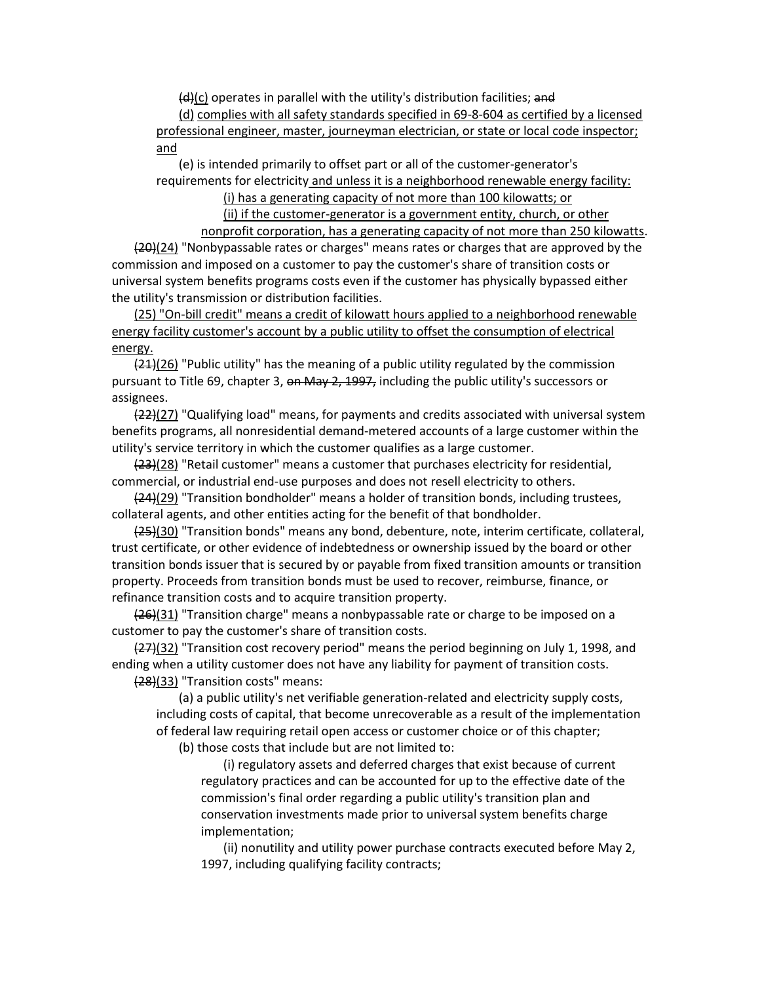$(d)(c)$  operates in parallel with the utility's distribution facilities; and

(d) complies with all safety standards specified in 69-8-604 as certified by a licensed professional engineer, master, journeyman electrician, or state or local code inspector; and

(e) is intended primarily to offset part or all of the customer-generator's requirements for electricity and unless it is a neighborhood renewable energy facility:

(i) has a generating capacity of not more than 100 kilowatts; or

(ii) if the customer-generator is a government entity, church, or other nonprofit corporation, has a generating capacity of not more than 250 kilowatts.

(20)(24) "Nonbypassable rates or charges" means rates or charges that are approved by the commission and imposed on a customer to pay the customer's share of transition costs or universal system benefits programs costs even if the customer has physically bypassed either the utility's transmission or distribution facilities.

(25) "On-bill credit" means a credit of kilowatt hours applied to a neighborhood renewable energy facility customer's account by a public utility to offset the consumption of electrical energy.

 $(21)(26)$  "Public utility" has the meaning of a public utility regulated by the commission pursuant to Title 69, chapter 3, on May 2, 1997, including the public utility's successors or assignees.

(22)(27) "Qualifying load" means, for payments and credits associated with universal system benefits programs, all nonresidential demand-metered accounts of a large customer within the utility's service territory in which the customer qualifies as a large customer.

(23)(28) "Retail customer" means a customer that purchases electricity for residential, commercial, or industrial end-use purposes and does not resell electricity to others.

(24)(29) "Transition bondholder" means a holder of transition bonds, including trustees, collateral agents, and other entities acting for the benefit of that bondholder.

(25)(30) "Transition bonds" means any bond, debenture, note, interim certificate, collateral, trust certificate, or other evidence of indebtedness or ownership issued by the board or other transition bonds issuer that is secured by or payable from fixed transition amounts or transition property. Proceeds from transition bonds must be used to recover, reimburse, finance, or refinance transition costs and to acquire transition property.

 $(26)(31)$  "Transition charge" means a nonbypassable rate or charge to be imposed on a customer to pay the customer's share of transition costs.

(27)(32) "Transition cost recovery period" means the period beginning on July 1, 1998, and ending when a utility customer does not have any liability for payment of transition costs. (28)(33) "Transition costs" means:

(a) a public utility's net verifiable generation-related and electricity supply costs, including costs of capital, that become unrecoverable as a result of the implementation of federal law requiring retail open access or customer choice or of this chapter;

(b) those costs that include but are not limited to:

(i) regulatory assets and deferred charges that exist because of current regulatory practices and can be accounted for up to the effective date of the commission's final order regarding a public utility's transition plan and conservation investments made prior to universal system benefits charge implementation;

(ii) nonutility and utility power purchase contracts executed before May 2, 1997, including qualifying facility contracts;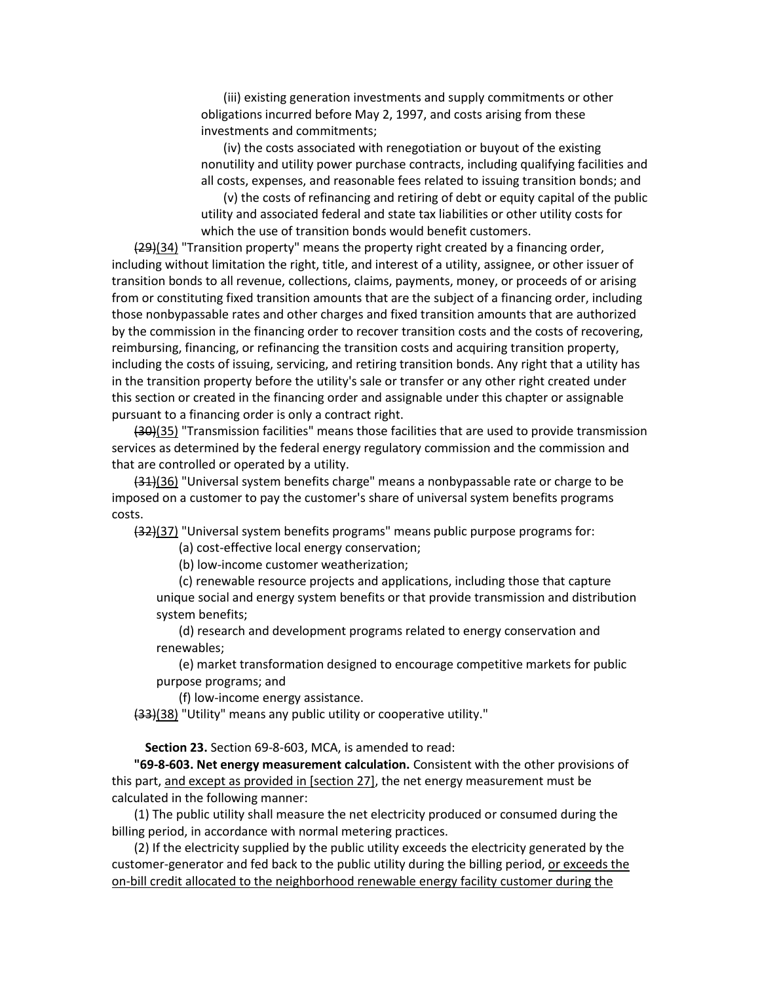(iii) existing generation investments and supply commitments or other obligations incurred before May 2, 1997, and costs arising from these investments and commitments;

(iv) the costs associated with renegotiation or buyout of the existing nonutility and utility power purchase contracts, including qualifying facilities and all costs, expenses, and reasonable fees related to issuing transition bonds; and

(v) the costs of refinancing and retiring of debt or equity capital of the public utility and associated federal and state tax liabilities or other utility costs for which the use of transition bonds would benefit customers.

 $(29)(34)$  "Transition property" means the property right created by a financing order, including without limitation the right, title, and interest of a utility, assignee, or other issuer of transition bonds to all revenue, collections, claims, payments, money, or proceeds of or arising from or constituting fixed transition amounts that are the subject of a financing order, including those nonbypassable rates and other charges and fixed transition amounts that are authorized by the commission in the financing order to recover transition costs and the costs of recovering, reimbursing, financing, or refinancing the transition costs and acquiring transition property, including the costs of issuing, servicing, and retiring transition bonds. Any right that a utility has in the transition property before the utility's sale or transfer or any other right created under this section or created in the financing order and assignable under this chapter or assignable pursuant to a financing order is only a contract right.

(30)(35) "Transmission facilities" means those facilities that are used to provide transmission services as determined by the federal energy regulatory commission and the commission and that are controlled or operated by a utility.

(31)(36) "Universal system benefits charge" means a nonbypassable rate or charge to be imposed on a customer to pay the customer's share of universal system benefits programs costs.

(32)(37) "Universal system benefits programs" means public purpose programs for:

(a) cost-effective local energy conservation;

(b) low-income customer weatherization;

(c) renewable resource projects and applications, including those that capture unique social and energy system benefits or that provide transmission and distribution system benefits;

(d) research and development programs related to energy conservation and renewables;

(e) market transformation designed to encourage competitive markets for public purpose programs; and

(f) low-income energy assistance.

(33)(38) "Utility" means any public utility or cooperative utility."

**Section 23.** Section 69-8-603, MCA, is amended to read:

**"69-8-603. Net energy measurement calculation.** Consistent with the other provisions of this part, and except as provided in [section 27], the net energy measurement must be calculated in the following manner:

(1) The public utility shall measure the net electricity produced or consumed during the billing period, in accordance with normal metering practices.

(2) If the electricity supplied by the public utility exceeds the electricity generated by the customer-generator and fed back to the public utility during the billing period, or exceeds the on-bill credit allocated to the neighborhood renewable energy facility customer during the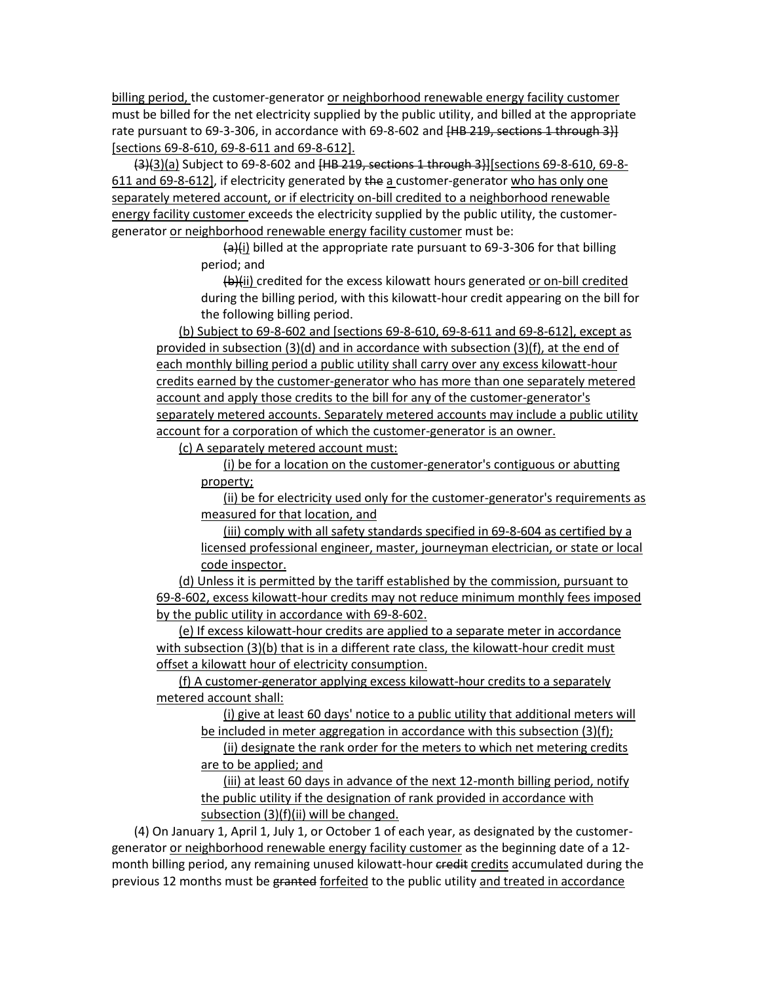billing period, the customer-generator or neighborhood renewable energy facility customer must be billed for the net electricity supplied by the public utility, and billed at the appropriate rate pursuant to 69-3-306, in accordance with 69-8-602 and [HB 219, sections 1 through 3}] [sections 69-8-610, 69-8-611 and 69-8-612].

 $(3)(3)(a)$  Subject to 69-8-602 and  $(HB 219,$  sections 1 through 3}][sections 69-8-610, 69-8-611 and 69-8-612], if electricity generated by the a customer-generator who has only one separately metered account, or if electricity on-bill credited to a neighborhood renewable energy facility customer exceeds the electricity supplied by the public utility, the customergenerator or neighborhood renewable energy facility customer must be:

> $(a)$ (i) billed at the appropriate rate pursuant to 69-3-306 for that billing period; and

(b)(ii) credited for the excess kilowatt hours generated or on-bill credited during the billing period, with this kilowatt-hour credit appearing on the bill for the following billing period.

(b) Subject to 69-8-602 and [sections 69-8-610, 69-8-611 and 69-8-612], except as provided in subsection (3)(d) and in accordance with subsection (3)(f), at the end of each monthly billing period a public utility shall carry over any excess kilowatt-hour credits earned by the customer-generator who has more than one separately metered account and apply those credits to the bill for any of the customer-generator's separately metered accounts. Separately metered accounts may include a public utility account for a corporation of which the customer-generator is an owner.

(c) A separately metered account must:

(i) be for a location on the customer-generator's contiguous or abutting property;

(ii) be for electricity used only for the customer-generator's requirements as measured for that location, and

(iii) comply with all safety standards specified in 69-8-604 as certified by a licensed professional engineer, master, journeyman electrician, or state or local code inspector.

(d) Unless it is permitted by the tariff established by the commission, pursuant to 69-8-602, excess kilowatt-hour credits may not reduce minimum monthly fees imposed by the public utility in accordance with 69-8-602.

(e) If excess kilowatt-hour credits are applied to a separate meter in accordance with subsection (3)(b) that is in a different rate class, the kilowatt-hour credit must offset a kilowatt hour of electricity consumption.

(f) A customer-generator applying excess kilowatt-hour credits to a separately metered account shall:

(i) give at least 60 days' notice to a public utility that additional meters will be included in meter aggregation in accordance with this subsection (3)(f);

(ii) designate the rank order for the meters to which net metering credits are to be applied; and

(iii) at least 60 days in advance of the next 12-month billing period, notify the public utility if the designation of rank provided in accordance with subsection (3)(f)(ii) will be changed.

(4) On January 1, April 1, July 1, or October 1 of each year, as designated by the customergenerator or neighborhood renewable energy facility customer as the beginning date of a 12 month billing period, any remaining unused kilowatt-hour credit credits accumulated during the previous 12 months must be granted forfeited to the public utility and treated in accordance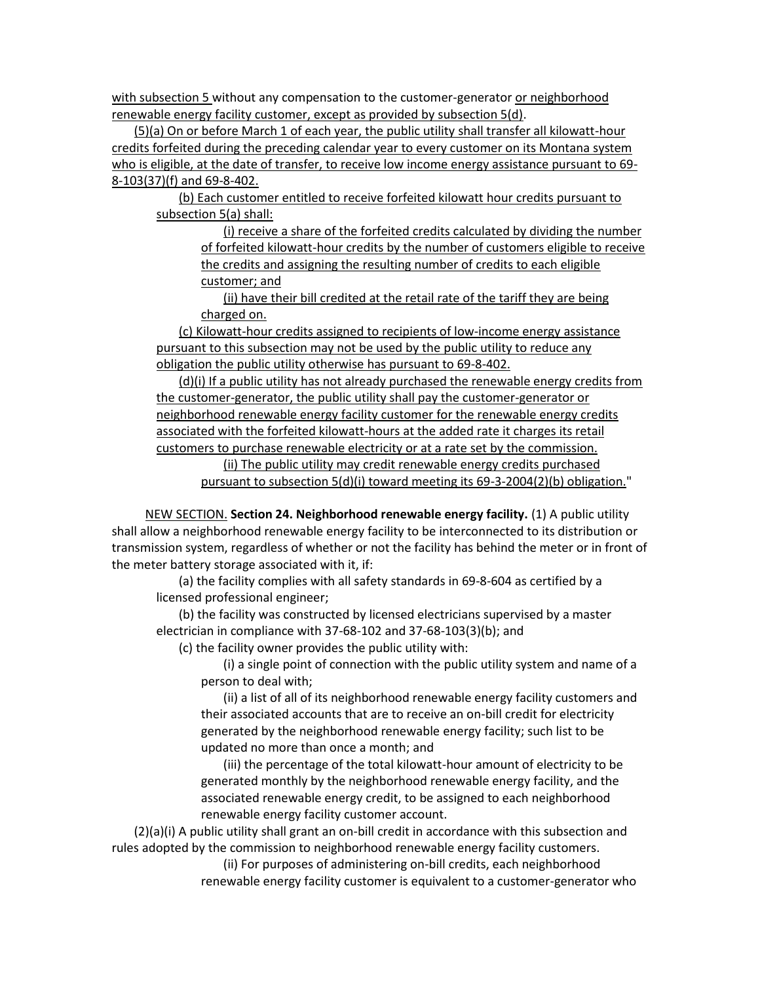with subsection 5 without any compensation to the customer-generator or neighborhood renewable energy facility customer, except as provided by subsection 5(d).

(5)(a) On or before March 1 of each year, the public utility shall transfer all kilowatt-hour credits forfeited during the preceding calendar year to every customer on its Montana system who is eligible, at the date of transfer, to receive low income energy assistance pursuant to 69- 8-103(37)(f) and 69-8-402.

(b) Each customer entitled to receive forfeited kilowatt hour credits pursuant to subsection 5(a) shall:

(i) receive a share of the forfeited credits calculated by dividing the number of forfeited kilowatt-hour credits by the number of customers eligible to receive the credits and assigning the resulting number of credits to each eligible customer; and

(ii) have their bill credited at the retail rate of the tariff they are being charged on.

(c) Kilowatt-hour credits assigned to recipients of low-income energy assistance pursuant to this subsection may not be used by the public utility to reduce any obligation the public utility otherwise has pursuant to 69-8-402.

(d)(i) If a public utility has not already purchased the renewable energy credits from the customer-generator, the public utility shall pay the customer-generator or neighborhood renewable energy facility customer for the renewable energy credits associated with the forfeited kilowatt-hours at the added rate it charges its retail customers to purchase renewable electricity or at a rate set by the commission. (ii) The public utility may credit renewable energy credits purchased pursuant to subsection 5(d)(i) toward meeting its 69-3-2004(2)(b) obligation."

NEW SECTION. **Section 24. Neighborhood renewable energy facility.** (1) A public utility shall allow a neighborhood renewable energy facility to be interconnected to its distribution or transmission system, regardless of whether or not the facility has behind the meter or in front of the meter battery storage associated with it, if:

(a) the facility complies with all safety standards in 69-8-604 as certified by a licensed professional engineer;

(b) the facility was constructed by licensed electricians supervised by a master electrician in compliance with 37-68-102 and 37-68-103(3)(b); and

(c) the facility owner provides the public utility with:

(i) a single point of connection with the public utility system and name of a person to deal with;

(ii) a list of all of its neighborhood renewable energy facility customers and their associated accounts that are to receive an on-bill credit for electricity generated by the neighborhood renewable energy facility; such list to be updated no more than once a month; and

(iii) the percentage of the total kilowatt-hour amount of electricity to be generated monthly by the neighborhood renewable energy facility, and the associated renewable energy credit, to be assigned to each neighborhood renewable energy facility customer account.

(2)(a)(i) A public utility shall grant an on-bill credit in accordance with this subsection and rules adopted by the commission to neighborhood renewable energy facility customers.

> (ii) For purposes of administering on-bill credits, each neighborhood renewable energy facility customer is equivalent to a customer-generator who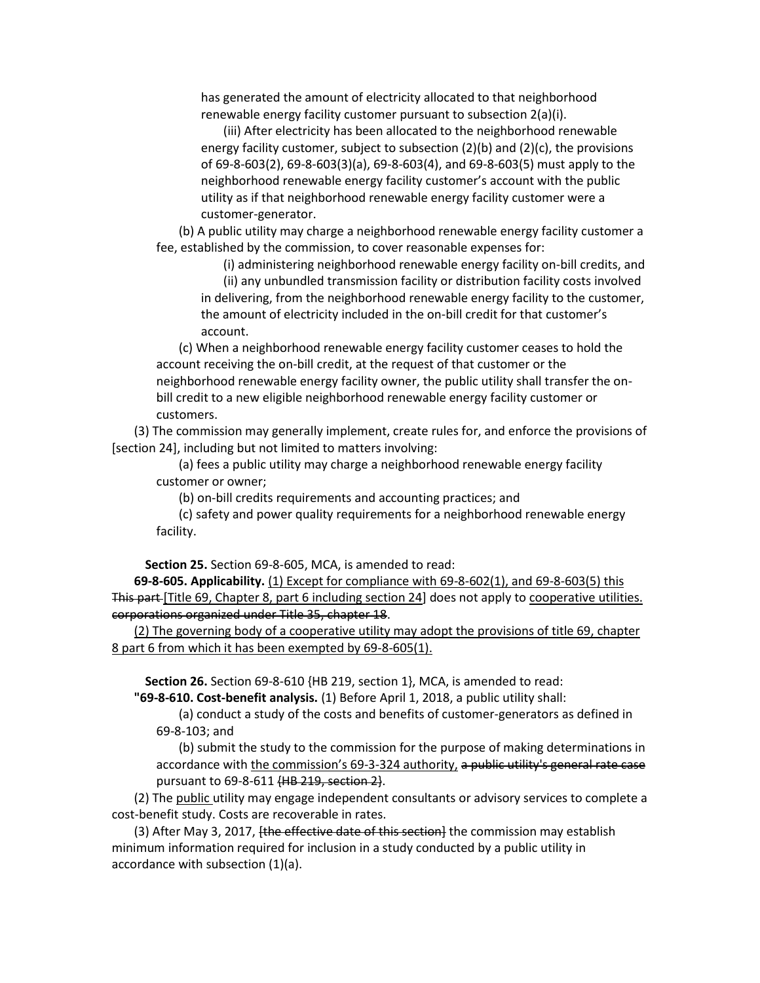has generated the amount of electricity allocated to that neighborhood renewable energy facility customer pursuant to subsection 2(a)(i).

(iii) After electricity has been allocated to the neighborhood renewable energy facility customer, subject to subsection (2)(b) and (2)(c), the provisions of 69-8-603(2), 69-8-603(3)(a), 69-8-603(4), and 69-8-603(5) must apply to the neighborhood renewable energy facility customer's account with the public utility as if that neighborhood renewable energy facility customer were a customer-generator.

(b) A public utility may charge a neighborhood renewable energy facility customer a fee, established by the commission, to cover reasonable expenses for:

(i) administering neighborhood renewable energy facility on-bill credits, and

(ii) any unbundled transmission facility or distribution facility costs involved in delivering, from the neighborhood renewable energy facility to the customer, the amount of electricity included in the on-bill credit for that customer's account.

(c) When a neighborhood renewable energy facility customer ceases to hold the account receiving the on-bill credit, at the request of that customer or the neighborhood renewable energy facility owner, the public utility shall transfer the onbill credit to a new eligible neighborhood renewable energy facility customer or customers.

(3) The commission may generally implement, create rules for, and enforce the provisions of [section 24], including but not limited to matters involving:

(a) fees a public utility may charge a neighborhood renewable energy facility customer or owner;

(b) on-bill credits requirements and accounting practices; and

(c) safety and power quality requirements for a neighborhood renewable energy facility.

**Section 25.** Section 69-8-605, MCA, is amended to read:

**69-8-605. Applicability.** (1) Except for compliance with 69-8-602(1), and 69-8-603(5) this This part [Title 69, Chapter 8, part 6 including section 24] does not apply to cooperative utilities. corporations organized under Title 35, chapter 18.

(2) The governing body of a cooperative utility may adopt the provisions of title 69, chapter 8 part 6 from which it has been exempted by 69-8-605(1).

**Section 26.** Section 69-8-610 {HB 219, section 1}, MCA, is amended to read:

**"69-8-610. Cost-benefit analysis.** (1) Before April 1, 2018, a public utility shall:

(a) conduct a study of the costs and benefits of customer-generators as defined in 69-8-103; and

(b) submit the study to the commission for the purpose of making determinations in accordance with the commission's 69-3-324 authority, a public utility's general rate case pursuant to 69-8-611 {HB 219, section 2}.

(2) The public utility may engage independent consultants or advisory services to complete a cost-benefit study. Costs are recoverable in rates.

(3) After May 3, 2017, *[the effective date of this section*] the commission may establish minimum information required for inclusion in a study conducted by a public utility in accordance with subsection (1)(a).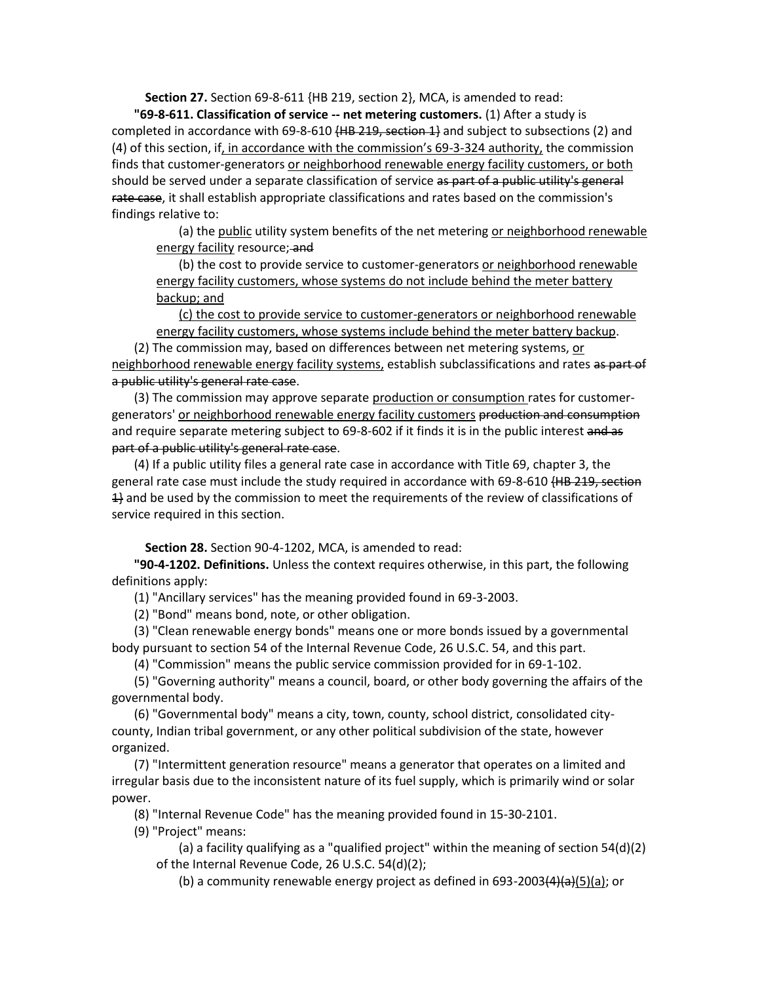**Section 27.** Section 69-8-611 {HB 219, section 2}, MCA, is amended to read:

**"69-8-611. Classification of service -- net metering customers.** (1) After a study is completed in accordance with 69-8-610  $(HB 219, \text{section } 1)$  and subject to subsections (2) and (4) of this section, if, in accordance with the commission's 69-3-324 authority, the commission finds that customer-generators or neighborhood renewable energy facility customers, or both should be served under a separate classification of service as part of a public utility's general rate case, it shall establish appropriate classifications and rates based on the commission's findings relative to:

(a) the public utility system benefits of the net metering or neighborhood renewable energy facility resource; and

(b) the cost to provide service to customer-generators or neighborhood renewable energy facility customers, whose systems do not include behind the meter battery backup; and

(c) the cost to provide service to customer-generators or neighborhood renewable energy facility customers, whose systems include behind the meter battery backup.

(2) The commission may, based on differences between net metering systems, or neighborhood renewable energy facility systems, establish subclassifications and rates as part of a public utility's general rate case.

(3) The commission may approve separate production or consumption rates for customergenerators' or neighborhood renewable energy facility customers production and consumption and require separate metering subject to 69-8-602 if it finds it is in the public interest and as part of a public utility's general rate case.

(4) If a public utility files a general rate case in accordance with Title 69, chapter 3, the general rate case must include the study required in accordance with 69-8-610 <del>(HB 219, section</del> 1} and be used by the commission to meet the requirements of the review of classifications of service required in this section.

**Section 28.** Section 90-4-1202, MCA, is amended to read:

**"90-4-1202. Definitions.** Unless the context requires otherwise, in this part, the following definitions apply:

(1) "Ancillary services" has the meaning provided found in 69-3-2003.

(2) "Bond" means bond, note, or other obligation.

(3) "Clean renewable energy bonds" means one or more bonds issued by a governmental body pursuant to section 54 of the Internal Revenue Code, 26 U.S.C. 54, and this part.

(4) "Commission" means the public service commission provided for in 69-1-102.

(5) "Governing authority" means a council, board, or other body governing the affairs of the governmental body.

(6) "Governmental body" means a city, town, county, school district, consolidated citycounty, Indian tribal government, or any other political subdivision of the state, however organized.

(7) "Intermittent generation resource" means a generator that operates on a limited and irregular basis due to the inconsistent nature of its fuel supply, which is primarily wind or solar power.

(8) "Internal Revenue Code" has the meaning provided found in 15-30-2101.

(9) "Project" means:

(a) a facility qualifying as a "qualified project" within the meaning of section  $54(d)(2)$ of the Internal Revenue Code, 26 U.S.C. 54(d)(2);

(b) a community renewable energy project as defined in  $693-2003(4)(a)(5)(a)$ ; or